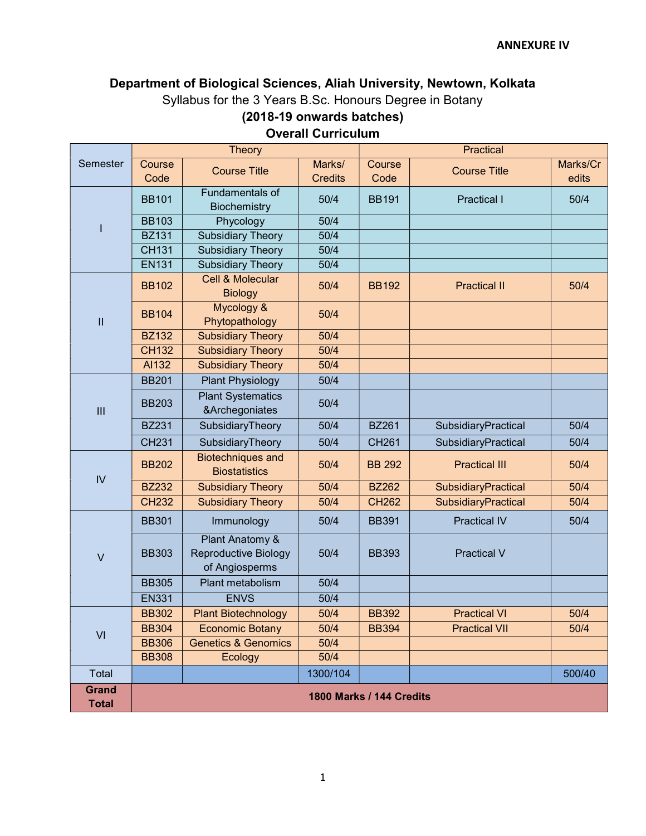# Department of Biological Sciences, Aliah University, Newtown, Kolkata Syllabus for the 3 Years B.Sc. Honours Degree in Botany (2018-19 onwards batches)

|                              |                                 | <b>Theory</b>                                                    | Practical                |                |                      |                   |
|------------------------------|---------------------------------|------------------------------------------------------------------|--------------------------|----------------|----------------------|-------------------|
| Semester                     | Course<br>Code                  | <b>Course Title</b>                                              | Marks/<br><b>Credits</b> | Course<br>Code | <b>Course Title</b>  | Marks/Cr<br>edits |
|                              | <b>BB101</b>                    | Fundamentals of<br>Biochemistry                                  | 50/4                     | <b>BB191</b>   | <b>Practical I</b>   | 50/4              |
|                              | <b>BB103</b>                    | Phycology                                                        | 50/4                     |                |                      |                   |
|                              | <b>BZ131</b>                    | <b>Subsidiary Theory</b>                                         | 50/4                     |                |                      |                   |
|                              | <b>CH131</b>                    | <b>Subsidiary Theory</b>                                         | 50/4                     |                |                      |                   |
|                              | <b>EN131</b>                    | <b>Subsidiary Theory</b>                                         | 50/4                     |                |                      |                   |
| $\mathbf{I}$                 | <b>BB102</b>                    | <b>Cell &amp; Molecular</b><br><b>Biology</b>                    | 50/4                     | <b>BB192</b>   | <b>Practical II</b>  | 50/4              |
|                              | <b>BB104</b>                    | Mycology &<br>Phytopathology                                     | 50/4                     |                |                      |                   |
|                              | <b>BZ132</b>                    | <b>Subsidiary Theory</b>                                         | 50/4                     |                |                      |                   |
|                              | <b>CH132</b>                    | <b>Subsidiary Theory</b>                                         | 50/4                     |                |                      |                   |
|                              | AI132                           | <b>Subsidiary Theory</b>                                         | 50/4                     |                |                      |                   |
|                              | <b>BB201</b>                    | <b>Plant Physiology</b>                                          | 50/4                     |                |                      |                   |
| III                          | <b>BB203</b>                    | <b>Plant Systematics</b><br>&Archegoniates                       | 50/4                     |                |                      |                   |
|                              | <b>BZ231</b>                    | SubsidiaryTheory                                                 | 50/4                     | <b>BZ261</b>   | SubsidiaryPractical  | 50/4              |
|                              | <b>CH231</b>                    | SubsidiaryTheory                                                 | 50/4                     | <b>CH261</b>   | SubsidiaryPractical  | 50/4              |
|                              | <b>BB202</b>                    | <b>Biotechniques and</b><br><b>Biostatistics</b>                 | 50/4                     | <b>BB 292</b>  | <b>Practical III</b> | 50/4              |
| IV                           | <b>BZ232</b>                    | <b>Subsidiary Theory</b>                                         | 50/4                     | <b>BZ262</b>   | SubsidiaryPractical  | 50/4              |
|                              | <b>CH232</b>                    | <b>Subsidiary Theory</b>                                         | 50/4                     | <b>CH262</b>   | SubsidiaryPractical  | 50/4              |
| $\vee$                       | <b>BB301</b>                    | Immunology                                                       | 50/4                     | <b>BB391</b>   | <b>Practical IV</b>  | 50/4              |
|                              | <b>BB303</b>                    | Plant Anatomy &<br><b>Reproductive Biology</b><br>of Angiosperms | 50/4                     | <b>BB393</b>   | <b>Practical V</b>   |                   |
|                              | <b>BB305</b>                    | Plant metabolism                                                 | 50/4                     |                |                      |                   |
|                              | <b>EN331</b>                    | <b>ENVS</b>                                                      | 50/4                     |                |                      |                   |
| VI                           | <b>BB302</b>                    | <b>Plant Biotechnology</b>                                       | 50/4                     | <b>BB392</b>   | <b>Practical VI</b>  | 50/4              |
|                              | <b>BB304</b>                    | <b>Economic Botany</b>                                           | 50/4                     | <b>BB394</b>   | <b>Practical VII</b> | 50/4              |
|                              | <b>BB306</b>                    | <b>Genetics &amp; Genomics</b>                                   | 50/4                     |                |                      |                   |
|                              | <b>BB308</b>                    | Ecology                                                          | 50/4                     |                |                      |                   |
| Total                        |                                 |                                                                  | 1300/104                 |                |                      | 500/40            |
| <b>Grand</b><br><b>Total</b> | <b>1800 Marks / 144 Credits</b> |                                                                  |                          |                |                      |                   |

Overall Curriculum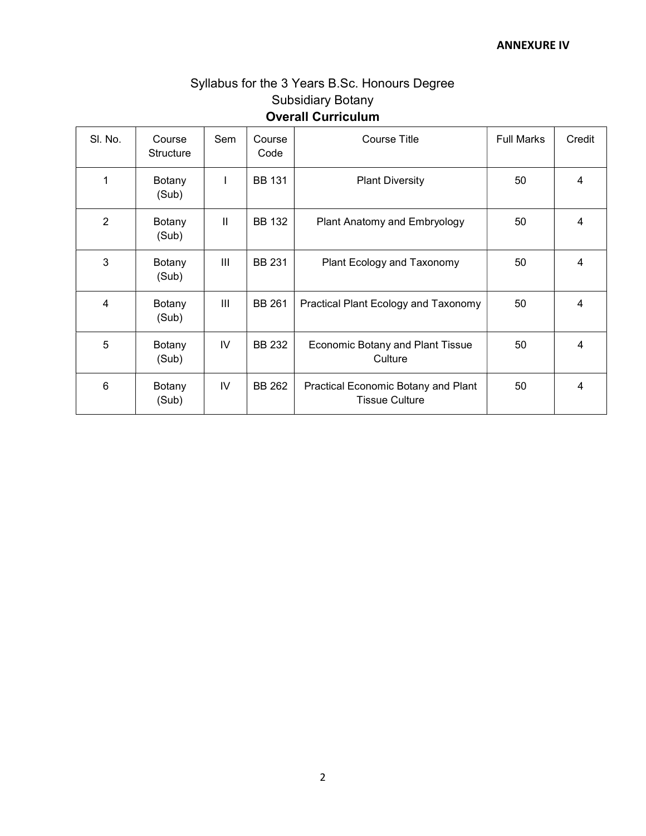# Syllabus for the 3 Years B.Sc. Honours Degree Subsidiary Botany Overall Curriculum

| SI. No.        | Course<br><b>Structure</b> | Sem | Course<br>Code | <b>Course Title</b>                                          | <b>Full Marks</b> | Credit |
|----------------|----------------------------|-----|----------------|--------------------------------------------------------------|-------------------|--------|
| 1              | Botany<br>(Sub)            |     | <b>BB 131</b>  | <b>Plant Diversity</b>                                       | 50                | 4      |
| $\overline{2}$ | Botany<br>(Sub)            | Ш   | <b>BB 132</b>  | Plant Anatomy and Embryology                                 | 50                | 4      |
| 3              | Botany<br>(Sub)            | III | <b>BB 231</b>  | Plant Ecology and Taxonomy                                   | 50                | 4      |
| 4              | Botany<br>(Sub)            | III | <b>BB 261</b>  | Practical Plant Ecology and Taxonomy                         | 50                | 4      |
| 5              | Botany<br>(Sub)            | IV. | <b>BB 232</b>  | <b>Economic Botany and Plant Tissue</b><br>Culture           | 50                | 4      |
| 6              | Botany<br>(Sub)            | IV  | <b>BB 262</b>  | Practical Economic Botany and Plant<br><b>Tissue Culture</b> | 50                | 4      |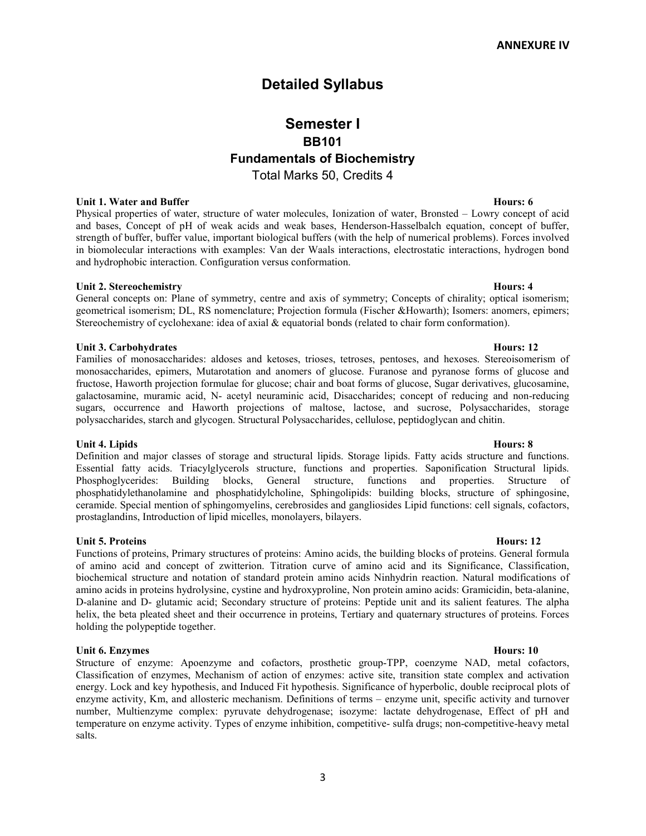# Detailed Syllabus

# Semester I BB101 Fundamentals of Biochemistry Total Marks 50, Credits 4

### Unit 1. Water and Buffer Hours: 6

Physical properties of water, structure of water molecules, Ionization of water, Bronsted – Lowry concept of acid and bases, Concept of pH of weak acids and weak bases, Henderson-Hasselbalch equation, concept of buffer, strength of buffer, buffer value, important biological buffers (with the help of numerical problems). Forces involved in biomolecular interactions with examples: Van der Waals interactions, electrostatic interactions, hydrogen bond and hydrophobic interaction. Configuration versus conformation.

### Unit 2. Stereochemistry Hours: 4

General concepts on: Plane of symmetry, centre and axis of symmetry; Concepts of chirality; optical isomerism; geometrical isomerism; DL, RS nomenclature; Projection formula (Fischer &Howarth); Isomers: anomers, epimers; Stereochemistry of cyclohexane: idea of axial & equatorial bonds (related to chair form conformation).

### Unit 3. Carbohydrates **Hours: 12**

Families of monosaccharides: aldoses and ketoses, trioses, tetroses, pentoses, and hexoses. Stereoisomerism of monosaccharides, epimers, Mutarotation and anomers of glucose. Furanose and pyranose forms of glucose and fructose, Haworth projection formulae for glucose; chair and boat forms of glucose, Sugar derivatives, glucosamine, galactosamine, muramic acid, N- acetyl neuraminic acid, Disaccharides; concept of reducing and non-reducing sugars, occurrence and Haworth projections of maltose, lactose, and sucrose, Polysaccharides, storage polysaccharides, starch and glycogen. Structural Polysaccharides, cellulose, peptidoglycan and chitin.

### Unit 4. Lipids Hours: 8

Definition and major classes of storage and structural lipids. Storage lipids. Fatty acids structure and functions. Essential fatty acids. Triacylglycerols structure, functions and properties. Saponification Structural lipids. Phosphoglycerides: Building blocks, General structure, functions and properties. Structure of phosphatidylethanolamine and phosphatidylcholine, Sphingolipids: building blocks, structure of sphingosine, ceramide. Special mention of sphingomyelins, cerebrosides and gangliosides Lipid functions: cell signals, cofactors, prostaglandins, Introduction of lipid micelles, monolayers, bilayers.

## Unit 5. Proteins Hours: 12

Functions of proteins, Primary structures of proteins: Amino acids, the building blocks of proteins. General formula of amino acid and concept of zwitterion. Titration curve of amino acid and its Significance, Classification, biochemical structure and notation of standard protein amino acids Ninhydrin reaction. Natural modifications of amino acids in proteins hydrolysine, cystine and hydroxyproline, Non protein amino acids: Gramicidin, beta-alanine, D-alanine and D- glutamic acid; Secondary structure of proteins: Peptide unit and its salient features. The alpha helix, the beta pleated sheet and their occurrence in proteins, Tertiary and quaternary structures of proteins. Forces holding the polypeptide together.

### Unit 6. Enzymes Hours: 10

Structure of enzyme: Apoenzyme and cofactors, prosthetic group-TPP, coenzyme NAD, metal cofactors, Classification of enzymes, Mechanism of action of enzymes: active site, transition state complex and activation energy. Lock and key hypothesis, and Induced Fit hypothesis. Significance of hyperbolic, double reciprocal plots of enzyme activity, Km, and allosteric mechanism. Definitions of terms – enzyme unit, specific activity and turnover number, Multienzyme complex: pyruvate dehydrogenase; isozyme: lactate dehydrogenase, Effect of pH and temperature on enzyme activity. Types of enzyme inhibition, competitive- sulfa drugs; non-competitive-heavy metal salts.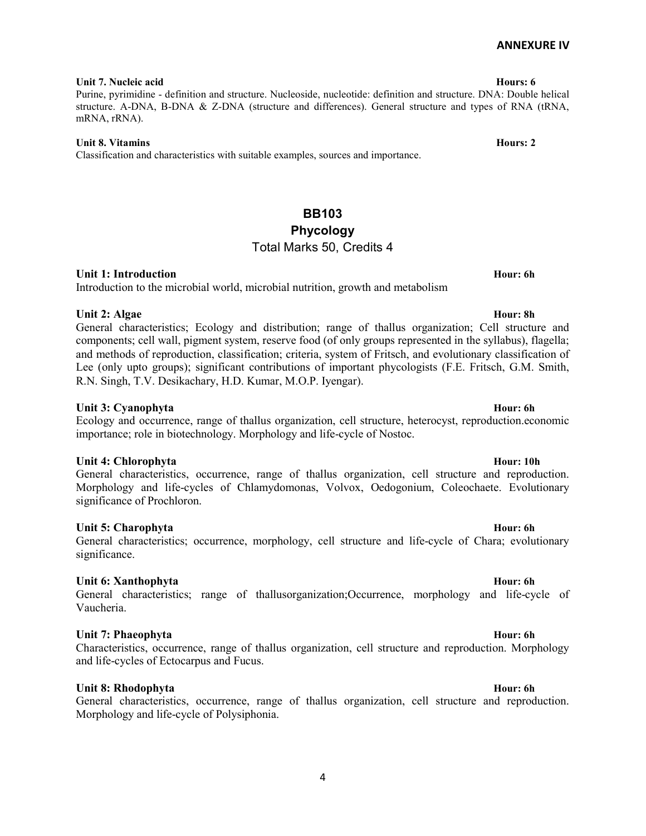Purine, pyrimidine - definition and structure. Nucleoside, nucleotide: definition and structure. DNA: Double helical structure. A-DNA, B-DNA & Z-DNA (structure and differences). General structure and types of RNA (tRNA, mRNA, rRNA).

## Unit 8. Vitamins Hours: 2

Classification and characteristics with suitable examples, sources and importance.

# BB103 Phycology Total Marks 50, Credits 4

## Unit 1: Introduction **Hour: 6h** Hour: 6h

## Introduction to the microbial world, microbial nutrition, growth and metabolism

Unit 2: Algae Hour: 8h General characteristics; Ecology and distribution; range of thallus organization; Cell structure and components; cell wall, pigment system, reserve food (of only groups represented in the syllabus), flagella; and methods of reproduction, classification; criteria, system of Fritsch, and evolutionary classification of

R.N. Singh, T.V. Desikachary, H.D. Kumar, M.O.P. Iyengar).

## Unit 3: Cyanophyta **Hour: 6h** Hour: 6h

Ecology and occurrence, range of thallus organization, cell structure, heterocyst, reproduction.economic importance; role in biotechnology. Morphology and life-cycle of Nostoc.

Lee (only upto groups); significant contributions of important phycologists (F.E. Fritsch, G.M. Smith,

## Unit 4: Chlorophyta **Hour: 10h** Hour: 10h

General characteristics, occurrence, range of thallus organization, cell structure and reproduction. Morphology and life-cycles of Chlamydomonas, Volvox, Oedogonium, Coleochaete. Evolutionary significance of Prochloron.

## Unit 5: Charophyta **Hour: 6h** Hour: 6h

## General characteristics; occurrence, morphology, cell structure and life-cycle of Chara; evolutionary significance.

## Unit 6: Xanthophyta **Hour: 6h** Hour: 6h

## General characteristics; range of thallusorganization;Occurrence, morphology and life-cycle of Vaucheria.

## Unit 7: Phaeophyta **Hour: 6h** Hour: 6h

Characteristics, occurrence, range of thallus organization, cell structure and reproduction. Morphology and life-cycles of Ectocarpus and Fucus.

## Unit 8: Rhodophyta **Hour: 6h** Hour: 6h

General characteristics, occurrence, range of thallus organization, cell structure and reproduction. Morphology and life-cycle of Polysiphonia.

### Unit 7. Nucleic acid **Hours: 6**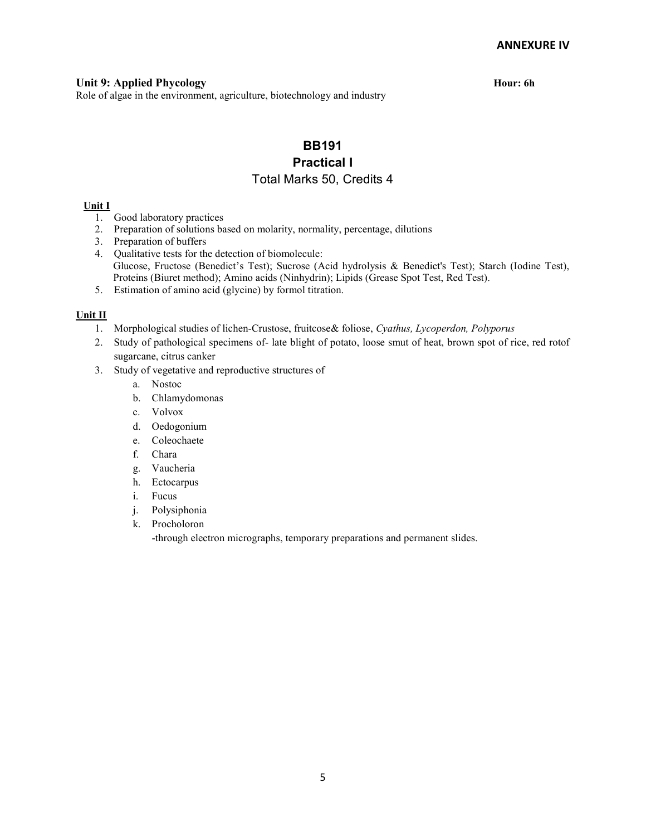## Unit 9: Applied Phycology **Hour: 6h** Hour: 6h

Role of algae in the environment, agriculture, biotechnology and industry

# BB191 Practical I Total Marks 50, Credits 4

### Unit I

- 1. Good laboratory practices
- 2. Preparation of solutions based on molarity, normality, percentage, dilutions
- 3. Preparation of buffers
- 4. Qualitative tests for the detection of biomolecule: Glucose, Fructose (Benedict's Test); Sucrose (Acid hydrolysis & Benedict's Test); Starch (Iodine Test), Proteins (Biuret method); Amino acids (Ninhydrin); Lipids (Grease Spot Test, Red Test).
- 5. Estimation of amino acid (glycine) by formol titration.

### Unit II

- 1. Morphological studies of lichen-Crustose, fruitcose& foliose, Cyathus, Lycoperdon, Polyporus
- 2. Study of pathological specimens of- late blight of potato, loose smut of heat, brown spot of rice, red rotof sugarcane, citrus canker
- 3. Study of vegetative and reproductive structures of
	- a. Nostoc
	- b. Chlamydomonas
	- c. Volvox
	- d. Oedogonium
	- e. Coleochaete
	- f. Chara
	- g. Vaucheria
	- h. Ectocarpus
	- i. Fucus
	- j. Polysiphonia
	- k. Procholoron

-through electron micrographs, temporary preparations and permanent slides.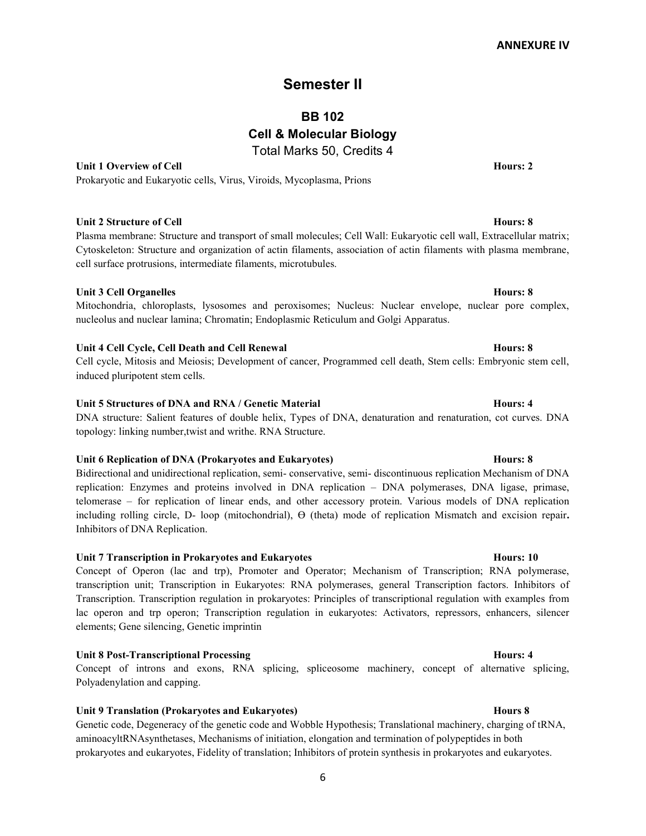# Semester II

BB 102

Cell & Molecular Biology

Total Marks 50, Credits 4

Unit 1 Overview of Cell **Hours: 2** 

Prokaryotic and Eukaryotic cells, Virus, Viroids, Mycoplasma, Prions

## Unit 2 Structure of Cell **Hours: 8**

Plasma membrane: Structure and transport of small molecules; Cell Wall: Eukaryotic cell wall, Extracellular matrix; Cytoskeleton: Structure and organization of actin filaments, association of actin filaments with plasma membrane, cell surface protrusions, intermediate filaments, microtubules.

## Unit 3 Cell Organelles **Hours: 8**

## Mitochondria, chloroplasts, lysosomes and peroxisomes; Nucleus: Nuclear envelope, nuclear pore complex, nucleolus and nuclear lamina; Chromatin; Endoplasmic Reticulum and Golgi Apparatus.

## Unit 4 Cell Cycle, Cell Death and Cell Renewal **Hours: 8** Hours: 8

Cell cycle, Mitosis and Meiosis; Development of cancer, Programmed cell death, Stem cells: Embryonic stem cell, induced pluripotent stem cells.

## Unit 5 Structures of DNA and RNA / Genetic Material Hours: 4

DNA structure: Salient features of double helix, Types of DNA, denaturation and renaturation, cot curves. DNA topology: linking number,twist and writhe. RNA Structure.

## Unit 6 Replication of DNA (Prokaryotes and Eukaryotes) Figure 2.1 and Eukaryotes and Eukaryotes and Eukaryotes and Eukaryotes and Eukaryotes and Eukaryotes and Eukaryotes and Eukaryotes and Eukaryotes and Eukaryotes and Eu

Bidirectional and unidirectional replication, semi- conservative, semi- discontinuous replication Mechanism of DNA replication: Enzymes and proteins involved in DNA replication – DNA polymerases, DNA ligase, primase, telomerase – for replication of linear ends, and other accessory protein. Various models of DNA replication including rolling circle, D- loop (mitochondrial), Ө (theta) mode of replication Mismatch and excision repair. Inhibitors of DNA Replication.

## Unit 7 Transcription in Prokaryotes and Eukaryotes **Hours: 10** Hours: 10

Concept of Operon (lac and trp), Promoter and Operator; Mechanism of Transcription; RNA polymerase, transcription unit; Transcription in Eukaryotes: RNA polymerases, general Transcription factors. Inhibitors of Transcription. Transcription regulation in prokaryotes: Principles of transcriptional regulation with examples from lac operon and trp operon; Transcription regulation in eukaryotes: Activators, repressors, enhancers, silencer elements; Gene silencing, Genetic imprintin

## Unit 8 Post-Transcriptional Processing Theorem and Theorem and Theorem and Hours: 4

Concept of introns and exons, RNA splicing, spliceosome machinery, concept of alternative splicing, Polyadenylation and capping.

## Unit 9 Translation (Prokaryotes and Eukaryotes) **Hours 8** Hours 8

Genetic code, Degeneracy of the genetic code and Wobble Hypothesis; Translational machinery, charging of tRNA, aminoacyltRNAsynthetases, Mechanisms of initiation, elongation and termination of polypeptides in both prokaryotes and eukaryotes, Fidelity of translation; Inhibitors of protein synthesis in prokaryotes and eukaryotes.

## 6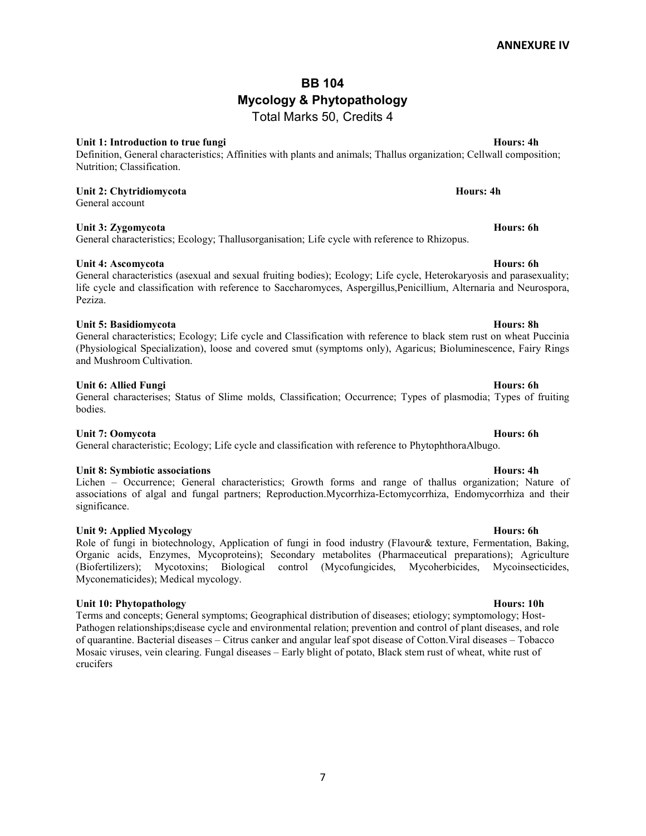## BB 104 Mycology & Phytopathology Total Marks 50, Credits 4

### Unit 1: Introduction to true fungi Hours: 4h

Definition, General characteristics; Affinities with plants and animals; Thallus organization; Cellwall composition; Nutrition; Classification.

# Unit 2: Chytridiomycota **Hours: 4h** Hours: 4h

General account

## Unit 3: Zygomycota Hours: 6h

General characteristics; Ecology; Thallusorganisation; Life cycle with reference to Rhizopus.

### Unit 4: Ascomycota **Hours: 6h** Hours: 6h

General characteristics (asexual and sexual fruiting bodies); Ecology; Life cycle, Heterokaryosis and parasexuality; life cycle and classification with reference to Saccharomyces, Aspergillus,Penicillium, Alternaria and Neurospora, Peziza.

### Unit 5: Basidiomycota **Hours: 8h** Hours: 8h

General characteristics; Ecology; Life cycle and Classification with reference to black stem rust on wheat Puccinia (Physiological Specialization), loose and covered smut (symptoms only), Agaricus; Bioluminescence, Fairy Rings and Mushroom Cultivation.

### Unit 6: Allied Fungi **Hours: 6h** Bours: 6h Bours: 6h Bours: 6h Bours: 6h Bours: 6h Bours: 6h Bours: 6h Bours: 6h

### General characterises; Status of Slime molds, Classification; Occurrence; Types of plasmodia; Types of fruiting bodies.

Unit 7: Oomycota Hours: 6h General characteristic; Ecology; Life cycle and classification with reference to PhytophthoraAlbugo.

### Unit 8: Symbiotic associations **Hours: 4h** Unit 8: Symbiotic associations

Lichen – Occurrence; General characteristics; Growth forms and range of thallus organization; Nature of associations of algal and fungal partners; Reproduction.Mycorrhiza-Ectomycorrhiza, Endomycorrhiza and their significance.

### Unit 9: Applied Mycology **Hours: 6h** Unit 9: Applied Mycology

Role of fungi in biotechnology, Application of fungi in food industry (Flavour& texture, Fermentation, Baking, Organic acids, Enzymes, Mycoproteins); Secondary metabolites (Pharmaceutical preparations); Agriculture (Biofertilizers); Mycotoxins; Biological control (Mycofungicides, Mycoherbicides, Mycoinsecticides, Myconematicides); Medical mycology.

### Unit 10: Phytopathology Hours: 10h

Terms and concepts; General symptoms; Geographical distribution of diseases; etiology; symptomology; Host-Pathogen relationships;disease cycle and environmental relation; prevention and control of plant diseases, and role of quarantine. Bacterial diseases – Citrus canker and angular leaf spot disease of Cotton.Viral diseases – Tobacco Mosaic viruses, vein clearing. Fungal diseases – Early blight of potato, Black stem rust of wheat, white rust of crucifers

7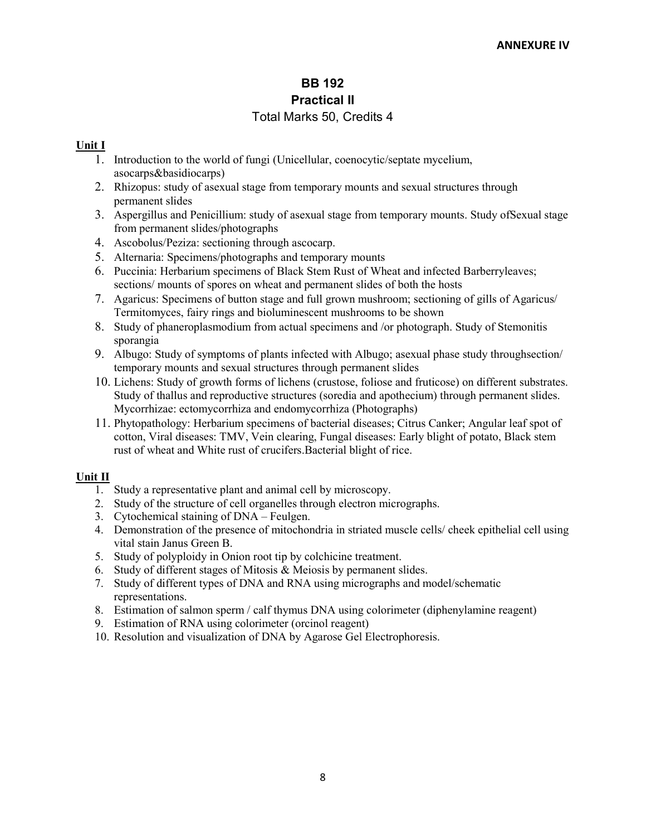## BB 192 Practical II Total Marks 50, Credits 4

## Unit I

- 1. Introduction to the world of fungi (Unicellular, coenocytic/septate mycelium, asocarps&basidiocarps)
- 2. Rhizopus: study of asexual stage from temporary mounts and sexual structures through permanent slides
- 3. Aspergillus and Penicillium: study of asexual stage from temporary mounts. Study ofSexual stage from permanent slides/photographs
- 4. Ascobolus/Peziza: sectioning through ascocarp.
- 5. Alternaria: Specimens/photographs and temporary mounts
- 6. Puccinia: Herbarium specimens of Black Stem Rust of Wheat and infected Barberryleaves; sections/ mounts of spores on wheat and permanent slides of both the hosts
- 7. Agaricus: Specimens of button stage and full grown mushroom; sectioning of gills of Agaricus/ Termitomyces, fairy rings and bioluminescent mushrooms to be shown
- 8. Study of phaneroplasmodium from actual specimens and /or photograph. Study of Stemonitis sporangia
- 9. Albugo: Study of symptoms of plants infected with Albugo; asexual phase study throughsection/ temporary mounts and sexual structures through permanent slides
- 10. Lichens: Study of growth forms of lichens (crustose, foliose and fruticose) on different substrates. Study of thallus and reproductive structures (soredia and apothecium) through permanent slides. Mycorrhizae: ectomycorrhiza and endomycorrhiza (Photographs)
- 11. Phytopathology: Herbarium specimens of bacterial diseases; Citrus Canker; Angular leaf spot of cotton, Viral diseases: TMV, Vein clearing, Fungal diseases: Early blight of potato, Black stem rust of wheat and White rust of crucifers.Bacterial blight of rice.

## Unit II

- 1. Study a representative plant and animal cell by microscopy.
- 2. Study of the structure of cell organelles through electron micrographs.
- 3. Cytochemical staining of DNA Feulgen.
- 4. Demonstration of the presence of mitochondria in striated muscle cells/ cheek epithelial cell using vital stain Janus Green B.
- 5. Study of polyploidy in Onion root tip by colchicine treatment.
- 6. Study of different stages of Mitosis & Meiosis by permanent slides.
- 7. Study of different types of DNA and RNA using micrographs and model/schematic representations.
- 8. Estimation of salmon sperm / calf thymus DNA using colorimeter (diphenylamine reagent)
- 9. Estimation of RNA using colorimeter (orcinol reagent)
- 10. Resolution and visualization of DNA by Agarose Gel Electrophoresis.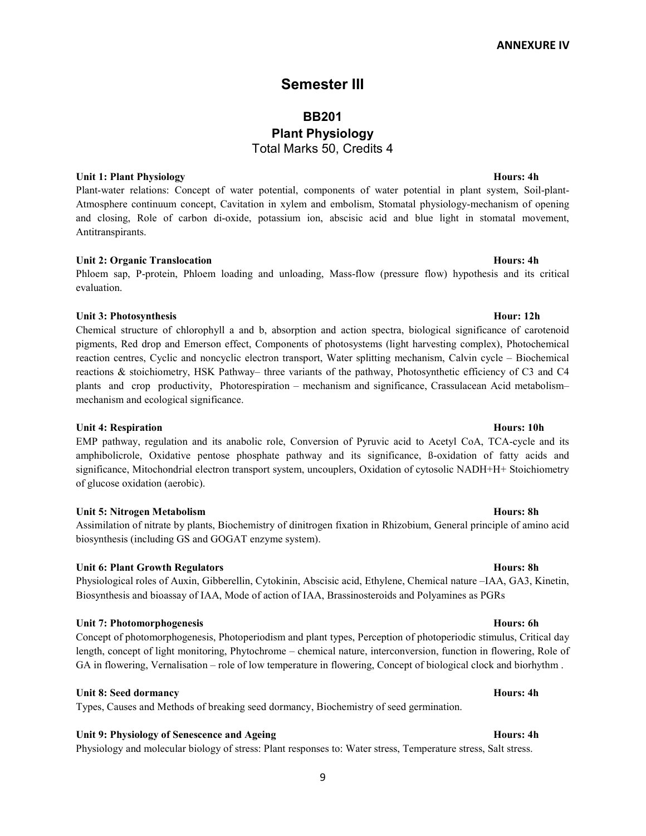## Semester III

# BB201 Plant Physiology Total Marks 50, Credits 4

## Unit 1: Plant Physiology Hours: 4h

Plant-water relations: Concept of water potential, components of water potential in plant system, Soil-plant-Atmosphere continuum concept, Cavitation in xylem and embolism, Stomatal physiology-mechanism of opening and closing, Role of carbon di-oxide, potassium ion, abscisic acid and blue light in stomatal movement, Antitranspirants.

## Unit 2: Organic Translocation **Hours: 4h** Unit 2: Organic Translocation

Phloem sap, P-protein, Phloem loading and unloading, Mass-flow (pressure flow) hypothesis and its critical evaluation.

## Unit 3: Photosynthesis Hour: 12h

Chemical structure of chlorophyll a and b, absorption and action spectra, biological significance of carotenoid pigments, Red drop and Emerson effect, Components of photosystems (light harvesting complex), Photochemical reaction centres, Cyclic and noncyclic electron transport, Water splitting mechanism, Calvin cycle – Biochemical reactions & stoichiometry, HSK Pathway– three variants of the pathway, Photosynthetic efficiency of C3 and C4 plants and crop productivity, Photorespiration – mechanism and significance, Crassulacean Acid metabolism– mechanism and ecological significance.

### Unit 4: Respiration **Hours: 10h**

EMP pathway, regulation and its anabolic role, Conversion of Pyruvic acid to Acetyl CoA, TCA-cycle and its amphibolicrole, Oxidative pentose phosphate pathway and its significance, ß-oxidation of fatty acids and significance, Mitochondrial electron transport system, uncouplers, Oxidation of cytosolic NADH+H+ Stoichiometry of glucose oxidation (aerobic).

### Unit 5: Nitrogen Metabolism **Hours: 8h** Hours: 8h

Assimilation of nitrate by plants, Biochemistry of dinitrogen fixation in Rhizobium, General principle of amino acid biosynthesis (including GS and GOGAT enzyme system).

### Unit 6: Plant Growth Regulators **Hours: 8h** Bours: 8h Bours: 8h Bours: 8h Bours: 8h Bours: 8h Bours: 8h Bours: 8h

Physiological roles of Auxin, Gibberellin, Cytokinin, Abscisic acid, Ethylene, Chemical nature –IAA, GA3, Kinetin, Biosynthesis and bioassay of IAA, Mode of action of IAA, Brassinosteroids and Polyamines as PGRs

### Unit 7: Photomorphogenesis Hours: 6h

Concept of photomorphogenesis, Photoperiodism and plant types, Perception of photoperiodic stimulus, Critical day length, concept of light monitoring, Phytochrome – chemical nature, interconversion, function in flowering, Role of GA in flowering, Vernalisation – role of low temperature in flowering, Concept of biological clock and biorhythm .

### Unit 8: Seed dormancy Hours: 4h

Types, Causes and Methods of breaking seed dormancy, Biochemistry of seed germination.

### Unit 9: Physiology of Senescence and Ageing Hours: 4h Unit 9: Physiology of Senescence and Ageing

Physiology and molecular biology of stress: Plant responses to: Water stress, Temperature stress, Salt stress.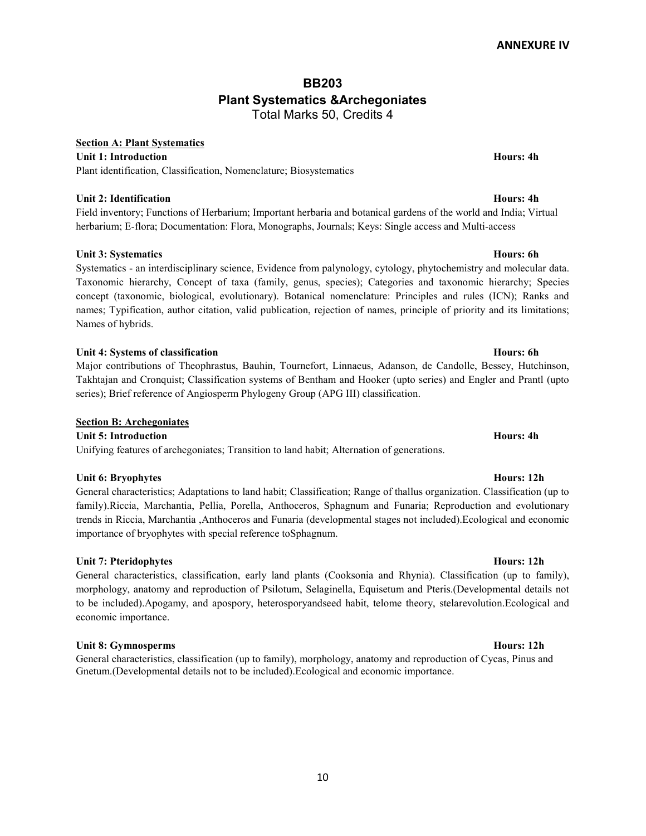## BB203 Plant Systematics &Archegoniates Total Marks 50, Credits 4

## Section A: Plant Systematics

Unit 1: Introduction **Hours: 4h** Hours: 4h Hours: 4h Hours: 4h Hours: 4h Hours: 4h Hours: 4h Hours: 4h Hours: 4h Plant identification, Classification, Nomenclature; Biosystematics

## Unit 2: Identification **Hours: 4h** example 1 and 2. Hours: 4h example 1 and 2. Hours: 4h

Field inventory; Functions of Herbarium; Important herbaria and botanical gardens of the world and India; Virtual herbarium; E-flora; Documentation: Flora, Monographs, Journals; Keys: Single access and Multi-access

## Unit 3: Systematics Hours: 6h

Systematics - an interdisciplinary science, Evidence from palynology, cytology, phytochemistry and molecular data. Taxonomic hierarchy, Concept of taxa (family, genus, species); Categories and taxonomic hierarchy; Species concept (taxonomic, biological, evolutionary). Botanical nomenclature: Principles and rules (ICN); Ranks and names; Typification, author citation, valid publication, rejection of names, principle of priority and its limitations; Names of hybrids.

## Unit 4: Systems of classification **Hours: 6h** Bours: 6h Bours: 6h Bours: 6h Bours: 6h Bours: 6h Bours: 6h Bours: 6h

Major contributions of Theophrastus, Bauhin, Tournefort, Linnaeus, Adanson, de Candolle, Bessey, Hutchinson, Takhtajan and Cronquist; Classification systems of Bentham and Hooker (upto series) and Engler and Prantl (upto series); Brief reference of Angiosperm Phylogeny Group (APG III) classification.

## Section B: Archegoniates

Unit 5: Introduction **Hours: 4h** Bours: 4h Bours: 4h Bours: 4h Bours: 4h Bours: 4h Bours: 4h Bours: 4h Bours: 4h Unifying features of archegoniates; Transition to land habit; Alternation of generations.

## Unit 6: Bryophytes **Hours: 12h**

General characteristics; Adaptations to land habit; Classification; Range of thallus organization. Classification (up to family).Riccia, Marchantia, Pellia, Porella, Anthoceros, Sphagnum and Funaria; Reproduction and evolutionary trends in Riccia, Marchantia ,Anthoceros and Funaria (developmental stages not included).Ecological and economic importance of bryophytes with special reference toSphagnum.

## Unit 7: Pteridophytes **Hours: 12h**

General characteristics, classification, early land plants (Cooksonia and Rhynia). Classification (up to family), morphology, anatomy and reproduction of Psilotum, Selaginella, Equisetum and Pteris.(Developmental details not to be included).Apogamy, and apospory, heterosporyandseed habit, telome theory, stelarevolution.Ecological and economic importance.

## Unit 8: Gymnosperms Hours: 12h

General characteristics, classification (up to family), morphology, anatomy and reproduction of Cycas, Pinus and Gnetum.(Developmental details not to be included).Ecological and economic importance.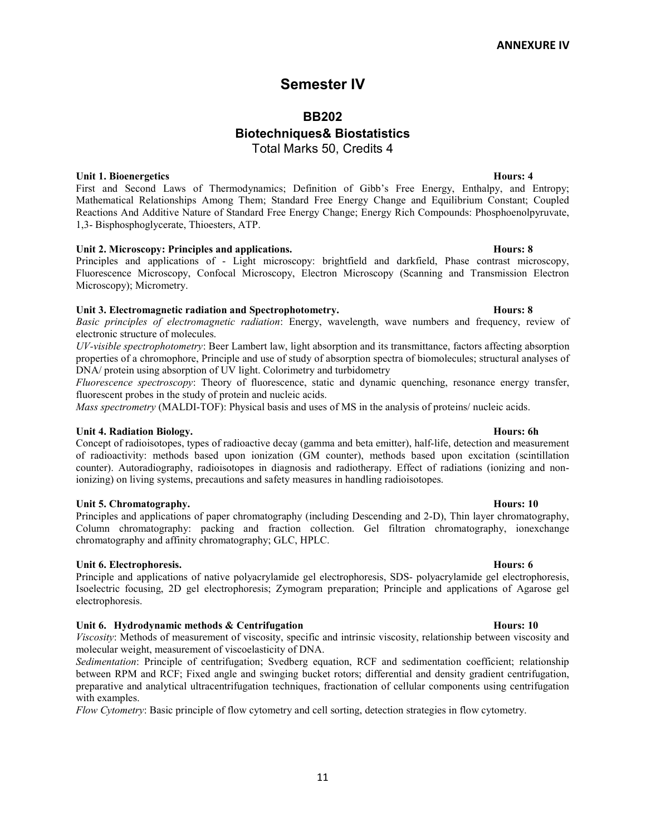# Semester IV

## BB202

# Biotechniques& Biostatistics

Total Marks 50, Credits 4

Unit 1. Bioenergetics **Hours: 4** 

First and Second Laws of Thermodynamics; Definition of Gibb's Free Energy, Enthalpy, and Entropy; Mathematical Relationships Among Them; Standard Free Energy Change and Equilibrium Constant; Coupled Reactions And Additive Nature of Standard Free Energy Change; Energy Rich Compounds: Phosphoenolpyruvate, 1,3- Bisphosphoglycerate, Thioesters, ATP.

## Unit 2. Microscopy: Principles and applications. The matrix of the set of the Hours: 8

Principles and applications of - Light microscopy: brightfield and darkfield, Phase contrast microscopy, Fluorescence Microscopy, Confocal Microscopy, Electron Microscopy (Scanning and Transmission Electron Microscopy); Micrometry.

## Unit 3. Electromagnetic radiation and Spectrophotometry. The extra section of the Hours: 8

Basic principles of electromagnetic radiation: Energy, wavelength, wave numbers and frequency, review of electronic structure of molecules.

UV-visible spectrophotometry: Beer Lambert law, light absorption and its transmittance, factors affecting absorption properties of a chromophore, Principle and use of study of absorption spectra of biomolecules; structural analyses of DNA/ protein using absorption of UV light. Colorimetry and turbidometry

Fluorescence spectroscopy: Theory of fluorescence, static and dynamic quenching, resonance energy transfer, fluorescent probes in the study of protein and nucleic acids.

Mass spectrometry (MALDI-TOF): Physical basis and uses of MS in the analysis of proteins/ nucleic acids.

### Unit 4. Radiation Biology. The contract of the contract of the contract of the contract of the contract of the contract of the contract of the contract of the contract of the contract of the contract of the contract of the

Concept of radioisotopes, types of radioactive decay (gamma and beta emitter), half-life, detection and measurement of radioactivity: methods based upon ionization (GM counter), methods based upon excitation (scintillation counter). Autoradiography, radioisotopes in diagnosis and radiotherapy. Effect of radiations (ionizing and nonionizing) on living systems, precautions and safety measures in handling radioisotopes.

### Unit 5. Chromatography. **Hours: 10**

Principles and applications of paper chromatography (including Descending and 2-D), Thin layer chromatography, Column chromatography: packing and fraction collection. Gel filtration chromatography, ionexchange chromatography and affinity chromatography; GLC, HPLC.

## Unit 6. Electrophoresis. Hours: 6

Principle and applications of native polyacrylamide gel electrophoresis, SDS- polyacrylamide gel electrophoresis, Isoelectric focusing, 2D gel electrophoresis; Zymogram preparation; Principle and applications of Agarose gel electrophoresis.

## Unit 6. Hydrodynamic methods & Centrifugation **Hours:** 10 Hours: 10

Viscosity: Methods of measurement of viscosity, specific and intrinsic viscosity, relationship between viscosity and molecular weight, measurement of viscoelasticity of DNA.

Sedimentation: Principle of centrifugation; Svedberg equation, RCF and sedimentation coefficient; relationship between RPM and RCF; Fixed angle and swinging bucket rotors; differential and density gradient centrifugation, preparative and analytical ultracentrifugation techniques, fractionation of cellular components using centrifugation with examples.

Flow Cytometry: Basic principle of flow cytometry and cell sorting, detection strategies in flow cytometry.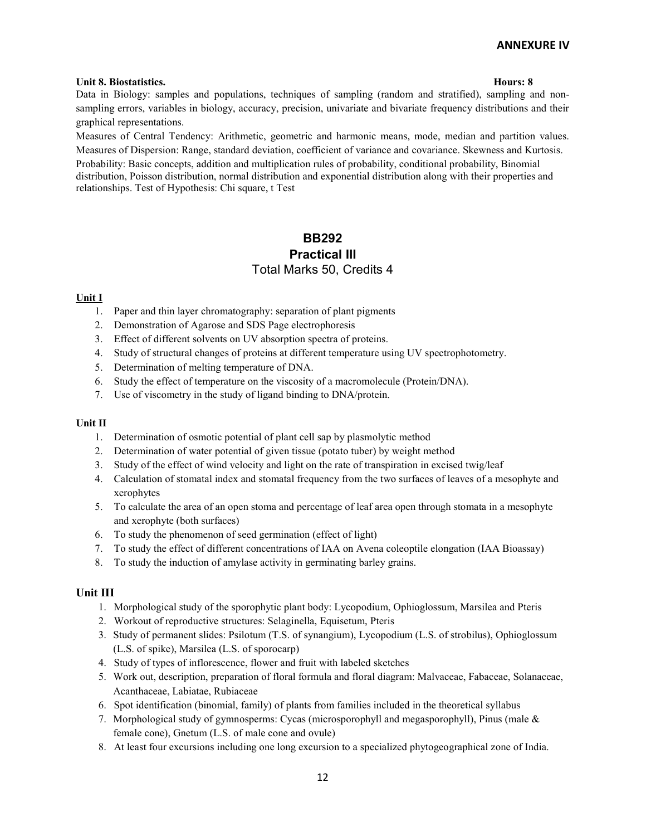### Unit 8. Biostatistics. Hours: 8

Data in Biology: samples and populations, techniques of sampling (random and stratified), sampling and nonsampling errors, variables in biology, accuracy, precision, univariate and bivariate frequency distributions and their graphical representations.

Measures of Central Tendency: Arithmetic, geometric and harmonic means, mode, median and partition values. Measures of Dispersion: Range, standard deviation, coefficient of variance and covariance. Skewness and Kurtosis.

Probability: Basic concepts, addition and multiplication rules of probability, conditional probability, Binomial distribution, Poisson distribution, normal distribution and exponential distribution along with their properties and relationships. Test of Hypothesis: Chi square, t Test

## BB292 Practical III Total Marks 50, Credits 4

### Unit I

- 1. Paper and thin layer chromatography: separation of plant pigments
- 2. Demonstration of Agarose and SDS Page electrophoresis
- 3. Effect of different solvents on UV absorption spectra of proteins.
- 4. Study of structural changes of proteins at different temperature using UV spectrophotometry.
- 5. Determination of melting temperature of DNA.
- 6. Study the effect of temperature on the viscosity of a macromolecule (Protein/DNA).
- 7. Use of viscometry in the study of ligand binding to DNA/protein.

### Unit II

- 1. Determination of osmotic potential of plant cell sap by plasmolytic method
- 2. Determination of water potential of given tissue (potato tuber) by weight method
- 3. Study of the effect of wind velocity and light on the rate of transpiration in excised twig/leaf
- 4. Calculation of stomatal index and stomatal frequency from the two surfaces of leaves of a mesophyte and xerophytes
- 5. To calculate the area of an open stoma and percentage of leaf area open through stomata in a mesophyte and xerophyte (both surfaces)
- 6. To study the phenomenon of seed germination (effect of light)
- 7. To study the effect of different concentrations of IAA on Avena coleoptile elongation (IAA Bioassay)
- 8. To study the induction of amylase activity in germinating barley grains.

## Unit III

- 1. Morphological study of the sporophytic plant body: Lycopodium, Ophioglossum, Marsilea and Pteris
- 2. Workout of reproductive structures: Selaginella, Equisetum, Pteris
- 3. Study of permanent slides: Psilotum (T.S. of synangium), Lycopodium (L.S. of strobilus), Ophioglossum (L.S. of spike), Marsilea (L.S. of sporocarp)
- 4. Study of types of inflorescence, flower and fruit with labeled sketches
- 5. Work out, description, preparation of floral formula and floral diagram: Malvaceae, Fabaceae, Solanaceae, Acanthaceae, Labiatae, Rubiaceae
- 6. Spot identification (binomial, family) of plants from families included in the theoretical syllabus
- 7. Morphological study of gymnosperms: Cycas (microsporophyll and megasporophyll), Pinus (male & female cone), Gnetum (L.S. of male cone and ovule)
- 8. At least four excursions including one long excursion to a specialized phytogeographical zone of India.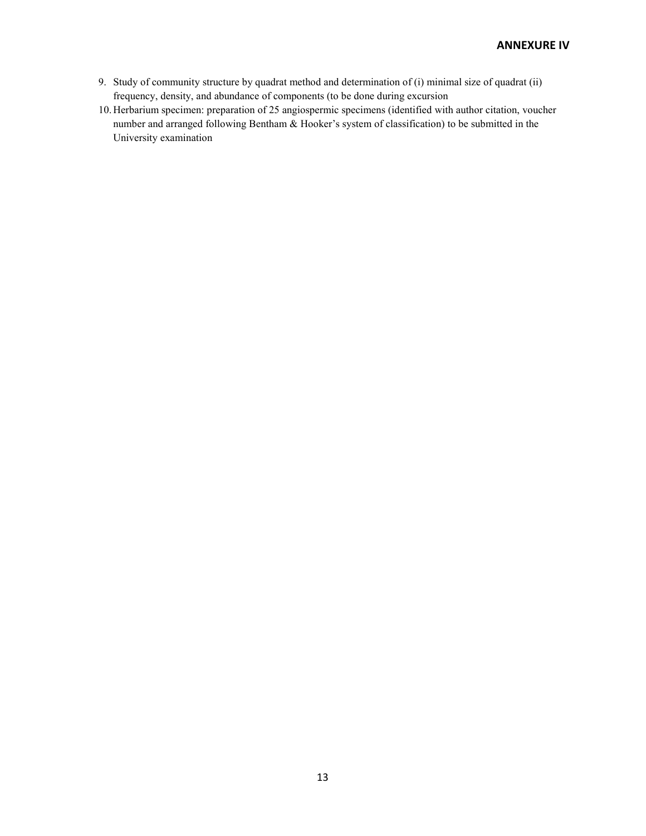- 9. Study of community structure by quadrat method and determination of (i) minimal size of quadrat (ii) frequency, density, and abundance of components (to be done during excursion
- 10. Herbarium specimen: preparation of 25 angiospermic specimens (identified with author citation, voucher number and arranged following Bentham & Hooker's system of classification) to be submitted in the University examination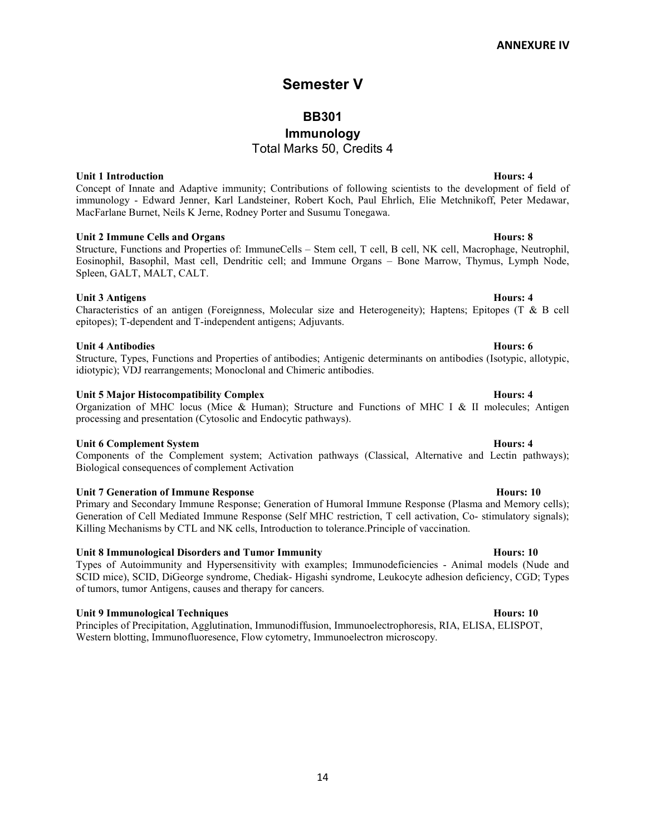# Semester V

## BB301

# Immunology

Total Marks 50, Credits 4

Unit 1 Introduction **Hours: 4** Concept of Innate and Adaptive immunity; Contributions of following scientists to the development of field of immunology - Edward Jenner, Karl Landsteiner, Robert Koch, Paul Ehrlich, Elie Metchnikoff, Peter Medawar, MacFarlane Burnet, Neils K Jerne, Rodney Porter and Susumu Tonegawa.

## Unit 2 Immune Cells and Organs **Hours: 8**

Structure, Functions and Properties of: ImmuneCells – Stem cell, T cell, B cell, NK cell, Macrophage, Neutrophil, Eosinophil, Basophil, Mast cell, Dendritic cell; and Immune Organs – Bone Marrow, Thymus, Lymph Node, Spleen, GALT, MALT, CALT.

## Unit 3 Antigens Hours: 4

Characteristics of an antigen (Foreignness, Molecular size and Heterogeneity); Haptens; Epitopes (T & B cell epitopes); T-dependent and T-independent antigens; Adjuvants.

## Unit 4 Antibodies **Hours: 6**

Structure, Types, Functions and Properties of antibodies; Antigenic determinants on antibodies (Isotypic, allotypic, idiotypic); VDJ rearrangements; Monoclonal and Chimeric antibodies.

## Unit 5 Major Histocompatibility Complex **Hours: 4** Hours: 4

Organization of MHC locus (Mice & Human); Structure and Functions of MHC I & II molecules; Antigen processing and presentation (Cytosolic and Endocytic pathways).

## Unit 6 Complement System **Hours: 4**

Components of the Complement system; Activation pathways (Classical, Alternative and Lectin pathways); Biological consequences of complement Activation

## Unit 7 Generation of Immune Response **Hours: 10** Hours: 10

Primary and Secondary Immune Response; Generation of Humoral Immune Response (Plasma and Memory cells); Generation of Cell Mediated Immune Response (Self MHC restriction, T cell activation, Co- stimulatory signals); Killing Mechanisms by CTL and NK cells, Introduction to tolerance.Principle of vaccination.

## Unit 8 Immunological Disorders and Tumor Immunity **Hours: 10** Hours: 10

Types of Autoimmunity and Hypersensitivity with examples; Immunodeficiencies - Animal models (Nude and SCID mice), SCID, DiGeorge syndrome, Chediak- Higashi syndrome, Leukocyte adhesion deficiency, CGD; Types of tumors, tumor Antigens, causes and therapy for cancers.

## Unit 9 Immunological Techniques **Hours: 10** Immunological Techniques **Hours: 10**

Principles of Precipitation, Agglutination, Immunodiffusion, Immunoelectrophoresis, RIA, ELISA, ELISPOT, Western blotting, Immunofluoresence, Flow cytometry, Immunoelectron microscopy.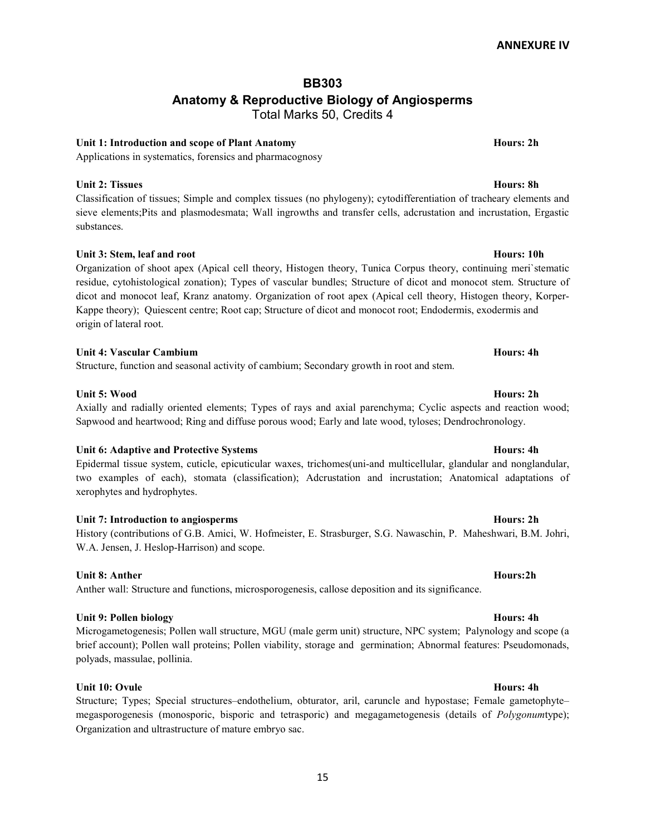## BB303 Anatomy & Reproductive Biology of Angiosperms Total Marks 50, Credits 4

## Unit 1: Introduction and scope of Plant Anatomy **Hours: 2h** Hours: 2h

Applications in systematics, forensics and pharmacognosy

## Unit 2: Tissues Hours: 8h

Classification of tissues; Simple and complex tissues (no phylogeny); cytodifferentiation of tracheary elements and sieve elements;Pits and plasmodesmata; Wall ingrowths and transfer cells, adcrustation and incrustation, Ergastic substances.

## Unit 3: Stem, leaf and root **Hours: 10h**

Organization of shoot apex (Apical cell theory, Histogen theory, Tunica Corpus theory, continuing meri`stematic residue, cytohistological zonation); Types of vascular bundles; Structure of dicot and monocot stem. Structure of dicot and monocot leaf, Kranz anatomy. Organization of root apex (Apical cell theory, Histogen theory, Korper-Kappe theory); Quiescent centre; Root cap; Structure of dicot and monocot root; Endodermis, exodermis and origin of lateral root.

## Unit 4: Vascular Cambium **Hours: 4h** Unit 4: Vascular Cambium

Structure, function and seasonal activity of cambium; Secondary growth in root and stem.

## Unit 5: Wood Hours: 2h

# Axially and radially oriented elements; Types of rays and axial parenchyma; Cyclic aspects and reaction wood; Sapwood and heartwood; Ring and diffuse porous wood; Early and late wood, tyloses; Dendrochronology.

## Unit 6: Adaptive and Protective Systems Hours: 4h

Epidermal tissue system, cuticle, epicuticular waxes, trichomes(uni-and multicellular, glandular and nonglandular, two examples of each), stomata (classification); Adcrustation and incrustation; Anatomical adaptations of xerophytes and hydrophytes.

## Unit 7: Introduction to angiosperms Hours: 2h

## History (contributions of G.B. Amici, W. Hofmeister, E. Strasburger, S.G. Nawaschin, P. Maheshwari, B.M. Johri, W.A. Jensen, J. Heslop-Harrison) and scope.

## Unit 8: Anther Hours:2h

Anther wall: Structure and functions, microsporogenesis, callose deposition and its significance.

## Unit 9: Pollen biology Hours: 4h

Microgametogenesis; Pollen wall structure, MGU (male germ unit) structure, NPC system; Palynology and scope (a brief account); Pollen wall proteins; Pollen viability, storage and germination; Abnormal features: Pseudomonads, polyads, massulae, pollinia.

## Unit 10: Ovule Hours: 4h

Structure; Types; Special structures–endothelium, obturator, aril, caruncle and hypostase; Female gametophyte– megasporogenesis (monosporic, bisporic and tetrasporic) and megagametogenesis (details of *Polygonumtype*); Organization and ultrastructure of mature embryo sac.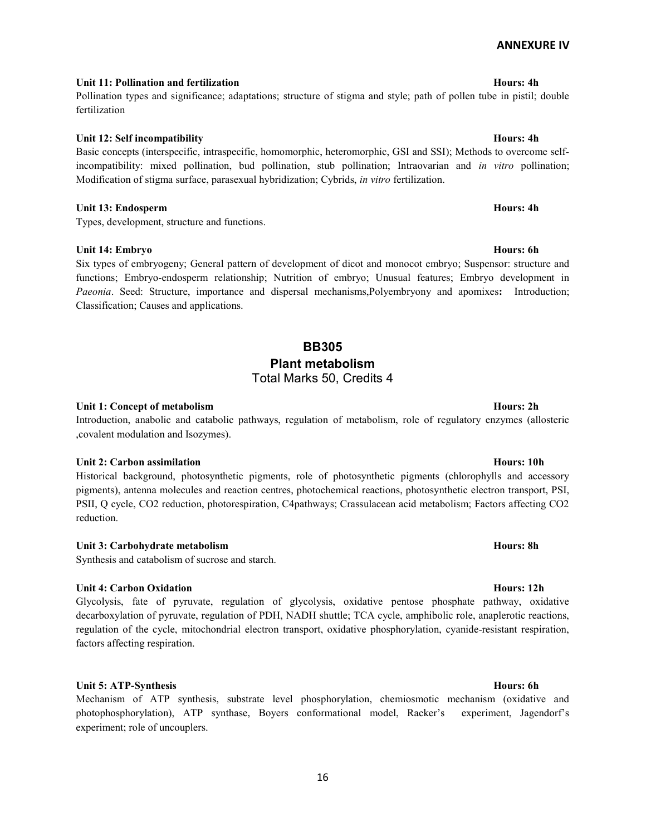## Unit 11: Pollination and fertilization Hours: 4h Pollination types and significance; adaptations; structure of stigma and style; path of pollen tube in pistil; double

# fertilization

Unit 12: Self incompatibility Hours: 4h

Basic concepts (interspecific, intraspecific, homomorphic, heteromorphic, GSI and SSI); Methods to overcome selfincompatibility: mixed pollination, bud pollination, stub pollination; Intraovarian and in vitro pollination; Modification of stigma surface, parasexual hybridization; Cybrids, in vitro fertilization.

## Unit 13: Endosperm Hours: 4h

Types, development, structure and functions.

## Unit 14: Embryo Hours: 6h

Six types of embryogeny; General pattern of development of dicot and monocot embryo; Suspensor: structure and functions; Embryo-endosperm relationship; Nutrition of embryo; Unusual features; Embryo development in Paeonia. Seed: Structure, importance and dispersal mechanisms,Polyembryony and apomixes: Introduction; Classification; Causes and applications.

## BB305 Plant metabolism Total Marks 50, Credits 4

## Unit 1: Concept of metabolism **Hours: 2h** Hours: 2h

Introduction, anabolic and catabolic pathways, regulation of metabolism, role of regulatory enzymes (allosteric ,covalent modulation and Isozymes).

## Unit 2: Carbon assimilation **Hours: 10h**

Historical background, photosynthetic pigments, role of photosynthetic pigments (chlorophylls and accessory pigments), antenna molecules and reaction centres, photochemical reactions, photosynthetic electron transport, PSI, PSII, Q cycle, CO2 reduction, photorespiration, C4pathways; Crassulacean acid metabolism; Factors affecting CO2 reduction.

## Unit 3: Carbohydrate metabolism example of the state of the state of the Hours: 8h equation of the Hours: 8h

Synthesis and catabolism of sucrose and starch.

## Unit 4: Carbon Oxidation **Hours: 12h**

Glycolysis, fate of pyruvate, regulation of glycolysis, oxidative pentose phosphate pathway, oxidative decarboxylation of pyruvate, regulation of PDH, NADH shuttle; TCA cycle, amphibolic role, anaplerotic reactions, regulation of the cycle, mitochondrial electron transport, oxidative phosphorylation, cyanide-resistant respiration, factors affecting respiration.

## Unit 5: ATP-Synthesis Hours: 6h

Mechanism of ATP synthesis, substrate level phosphorylation, chemiosmotic mechanism (oxidative and photophosphorylation), ATP synthase, Boyers conformational model, Racker's experiment, Jagendorf's experiment; role of uncouplers.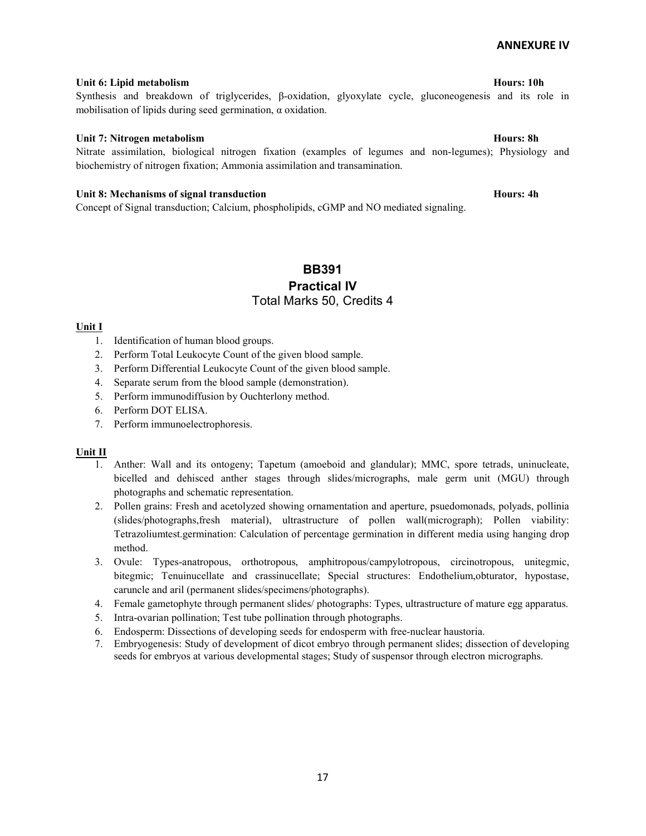## Unit 6: Lipid metabolism Hours: 10h

## Synthesis and breakdown of triglycerides, β-oxidation, glyoxylate cycle, gluconeogenesis and its role in mobilisation of lipids during seed germination, α oxidation.

## Unit 7: Nitrogen metabolism **Hours: 8h** Hours: 8h

Nitrate assimilation, biological nitrogen fixation (examples of legumes and non-legumes); Physiology and biochemistry of nitrogen fixation; Ammonia assimilation and transamination.

### Unit 8: Mechanisms of signal transduction example of the Hours: 4h

Concept of Signal transduction; Calcium, phospholipids, cGMP and NO mediated signaling.

## BB391 Practical IV Total Marks 50, Credits 4

## Unit I

- 1. Identification of human blood groups.
- 2. Perform Total Leukocyte Count of the given blood sample.
- 3. Perform Differential Leukocyte Count of the given blood sample.
- 4. Separate serum from the blood sample (demonstration).
- 5. Perform immunodiffusion by Ouchterlony method.
- 6. Perform DOT ELISA.
- 7. Perform immunoelectrophoresis.

## Unit II

- 1. Anther: Wall and its ontogeny; Tapetum (amoeboid and glandular); MMC, spore tetrads, uninucleate, bicelled and dehisced anther stages through slides/micrographs, male germ unit (MGU) through photographs and schematic representation.
- 2. Pollen grains: Fresh and acetolyzed showing ornamentation and aperture, psuedomonads, polyads, pollinia (slides/photographs,fresh material), ultrastructure of pollen wall(micrograph); Pollen viability: Tetrazoliumtest.germination: Calculation of percentage germination in different media using hanging drop method.
- 3. Ovule: Types-anatropous, orthotropous, amphitropous/campylotropous, circinotropous, unitegmic, bitegmic; Tenuinucellate and crassinucellate; Special structures: Endothelium,obturator, hypostase, caruncle and aril (permanent slides/specimens/photographs).
- 4. Female gametophyte through permanent slides/ photographs: Types, ultrastructure of mature egg apparatus.
- 5. Intra-ovarian pollination; Test tube pollination through photographs.
- 6. Endosperm: Dissections of developing seeds for endosperm with free-nuclear haustoria.
- 7. Embryogenesis: Study of development of dicot embryo through permanent slides; dissection of developing seeds for embryos at various developmental stages; Study of suspensor through electron micrographs.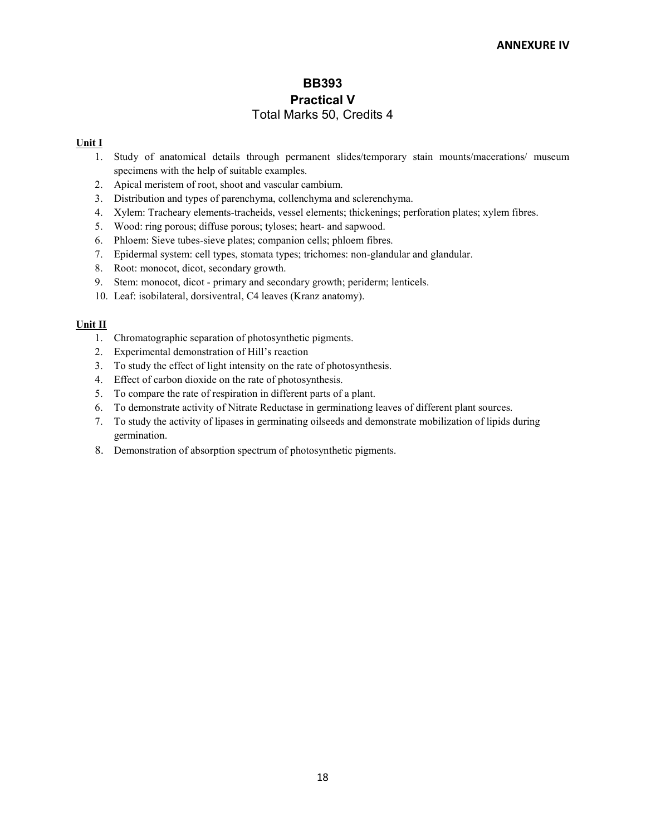## BB393 Practical V Total Marks 50, Credits 4

## Unit I

- 1. Study of anatomical details through permanent slides/temporary stain mounts/macerations/ museum specimens with the help of suitable examples.
- 2. Apical meristem of root, shoot and vascular cambium.
- 3. Distribution and types of parenchyma, collenchyma and sclerenchyma.
- 4. Xylem: Tracheary elements-tracheids, vessel elements; thickenings; perforation plates; xylem fibres.
- 5. Wood: ring porous; diffuse porous; tyloses; heart- and sapwood.
- 6. Phloem: Sieve tubes-sieve plates; companion cells; phloem fibres.
- 7. Epidermal system: cell types, stomata types; trichomes: non-glandular and glandular.
- 8. Root: monocot, dicot, secondary growth.
- 9. Stem: monocot, dicot primary and secondary growth; periderm; lenticels.
- 10. Leaf: isobilateral, dorsiventral, C4 leaves (Kranz anatomy).

## Unit II

- 1. Chromatographic separation of photosynthetic pigments.
- 2. Experimental demonstration of Hill's reaction
- 3. To study the effect of light intensity on the rate of photosynthesis.
- 4. Effect of carbon dioxide on the rate of photosynthesis.
- 5. To compare the rate of respiration in different parts of a plant.
- 6. To demonstrate activity of Nitrate Reductase in germinationg leaves of different plant sources.
- 7. To study the activity of lipases in germinating oilseeds and demonstrate mobilization of lipids during germination.
- 8. Demonstration of absorption spectrum of photosynthetic pigments.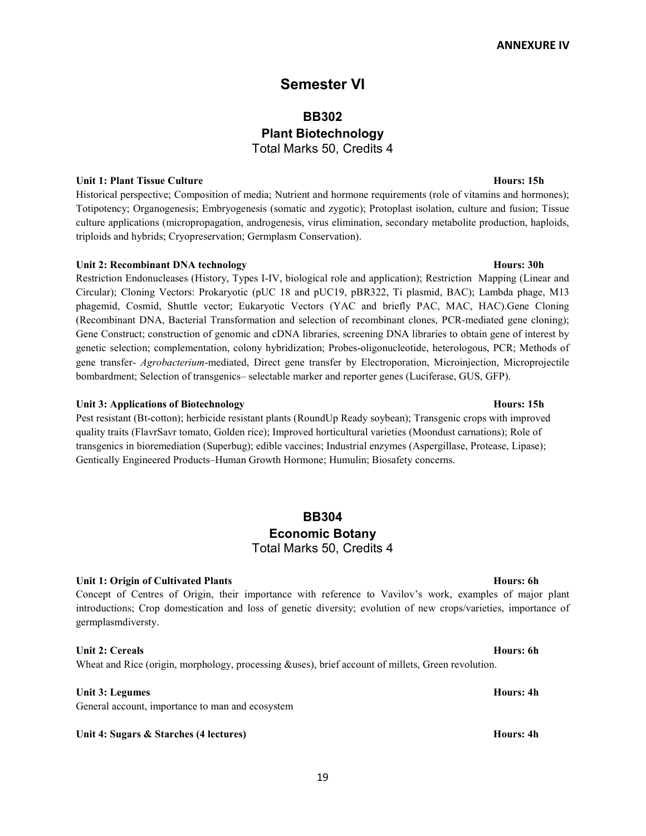## Semester VI

## BB302 Plant Biotechnology Total Marks 50, Credits 4

### Unit 1: Plant Tissue Culture **Hours: 15h**

Historical perspective; Composition of media; Nutrient and hormone requirements (role of vitamins and hormones); Totipotency; Organogenesis; Embryogenesis (somatic and zygotic); Protoplast isolation, culture and fusion; Tissue culture applications (micropropagation, androgenesis, virus elimination, secondary metabolite production, haploids, triploids and hybrids; Cryopreservation; Germplasm Conservation).

### Unit 2: Recombinant DNA technology **Hours: 30h** Hours: 30h

Restriction Endonucleases (History, Types I-IV, biological role and application); Restriction Mapping (Linear and Circular); Cloning Vectors: Prokaryotic (pUC 18 and pUC19, pBR322, Ti plasmid, BAC); Lambda phage, M13 phagemid, Cosmid, Shuttle vector; Eukaryotic Vectors (YAC and briefly PAC, MAC, HAC).Gene Cloning (Recombinant DNA, Bacterial Transformation and selection of recombinant clones, PCR-mediated gene cloning); Gene Construct; construction of genomic and cDNA libraries, screening DNA libraries to obtain gene of interest by genetic selection; complementation, colony hybridization; Probes-oligonucleotide, heterologous, PCR; Methods of gene transfer- Agrobacterium-mediated, Direct gene transfer by Electroporation, Microinjection, Microprojectile bombardment; Selection of transgenics– selectable marker and reporter genes (Luciferase, GUS, GFP).

### Unit 3: Applications of Biotechnology **Hours: 15h**

Pest resistant (Bt-cotton); herbicide resistant plants (RoundUp Ready soybean); Transgenic crops with improved quality traits (FlavrSavr tomato, Golden rice); Improved horticultural varieties (Moondust carnations); Role of transgenics in bioremediation (Superbug); edible vaccines; Industrial enzymes (Aspergillase, Protease, Lipase); Gentically Engineered Products–Human Growth Hormone; Humulin; Biosafety concerns.

## BB304 Economic Botany Total Marks 50, Credits 4

### Unit 1: Origin of Cultivated Plants Hours: 6h

Concept of Centres of Origin, their importance with reference to Vavilov's work, examples of major plant introductions; Crop domestication and loss of genetic diversity; evolution of new crops/varieties, importance of germplasmdiversty.

## Unit 2: Cereals Hours: 6h

Wheat and Rice (origin, morphology, processing &uses), brief account of millets, Green revolution.

### Unit 3: Legumes Hours: 4h

General account, importance to man and ecosystem

### Unit 4: Sugars & Starches (4 lectures) Hours: 4h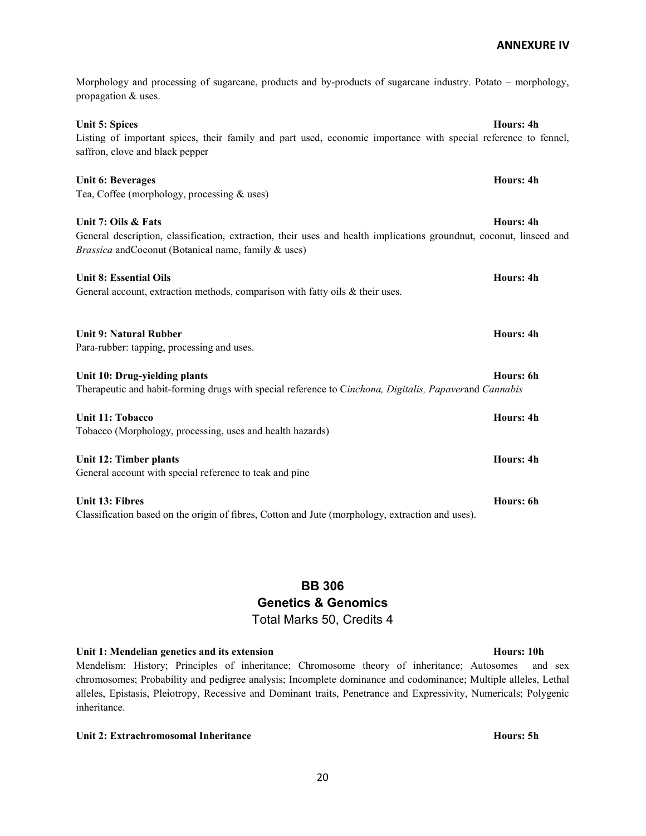Unit 5: Spices Hours: 4h Listing of important spices, their family and part used, economic importance with special reference to fennel, saffron, clove and black pepper Unit 6: Beverages Hours: 4h Tea, Coffee (morphology, processing & uses) Unit 7: Oils & Fats Hours: 4h General description, classification, extraction, their uses and health implications groundnut, coconut, linseed and Brassica andCoconut (Botanical name, family & uses) Unit 8: Essential Oils **Hours: 4h** Bours: 4h Bours: 4h Bours: 4h Bours: 4h Bours: 4h Bours: 4h Bours: 4h Bours: 4h General account, extraction methods, comparison with fatty oils & their uses. Unit 9: Natural Rubber Hours: 4h Para-rubber: tapping, processing and uses. Unit 10: Drug-yielding plants Hours: 6h Therapeutic and habit-forming drugs with special reference to Cinchona, Digitalis, Papaverand Cannabis Unit 11: Tobacco Hours: 4h Tobacco (Morphology, processing, uses and health hazards) Unit 12: Timber plants **Hours: 4h** Unit 12: Timber plants General account with special reference to teak and pine Unit 13: Fibres Hours: 6h Classification based on the origin of fibres, Cotton and Jute (morphology, extraction and uses).

Morphology and processing of sugarcane, products and by-products of sugarcane industry. Potato – morphology,

BB 306 Genetics & Genomics Total Marks 50, Credits 4

Unit 1: Mendelian genetics and its extension extension the state of the Hours: 10h

propagation & uses.

Mendelism: History; Principles of inheritance; Chromosome theory of inheritance; Autosomes and sex chromosomes; Probability and pedigree analysis; Incomplete dominance and codominance; Multiple alleles, Lethal alleles, Epistasis, Pleiotropy, Recessive and Dominant traits, Penetrance and Expressivity, Numericals; Polygenic inheritance.

Unit 2: Extrachromosomal Inheritance **Hours: 5h** Hours: 5h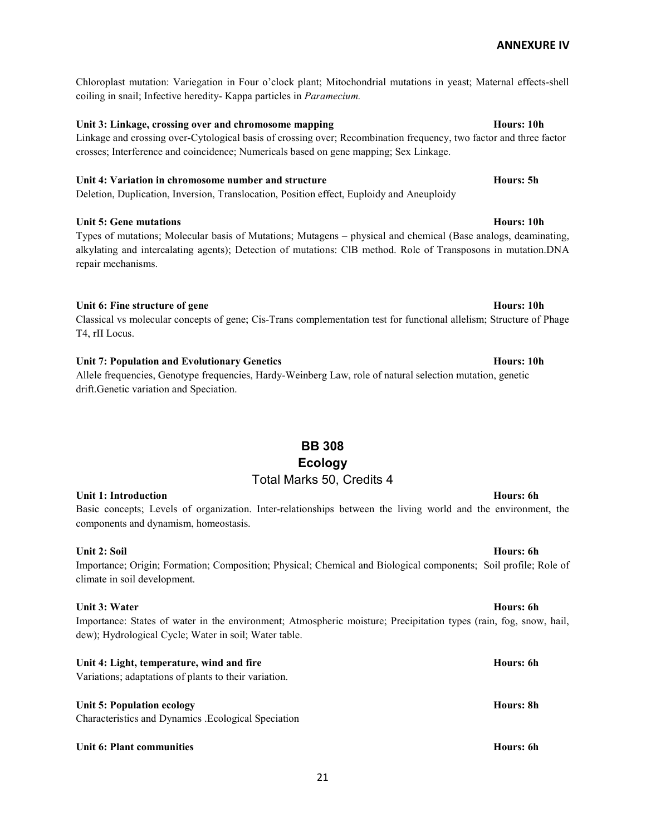Chloroplast mutation: Variegation in Four o'clock plant; Mitochondrial mutations in yeast; Maternal effects-shell coiling in snail; Infective heredity- Kappa particles in Paramecium.

## Unit 3: Linkage, crossing over and chromosome mapping hours: 10h Hours: 10h

Linkage and crossing over-Cytological basis of crossing over; Recombination frequency, two factor and three factor crosses; Interference and coincidence; Numericals based on gene mapping; Sex Linkage.

## Unit 4: Variation in chromosome number and structure **Hours: 1996** Hours: 5h

Deletion, Duplication, Inversion, Translocation, Position effect, Euploidy and Aneuploidy

## Unit 5: Gene mutations **Hours: 10h**

Types of mutations; Molecular basis of Mutations; Mutagens – physical and chemical (Base analogs, deaminating, alkylating and intercalating agents); Detection of mutations: ClB method. Role of Transposons in mutation.DNA repair mechanisms.

## Unit 6: Fine structure of gene **Hours:** 10h

## Classical vs molecular concepts of gene; Cis-Trans complementation test for functional allelism; Structure of Phage T4, rII Locus.

## Unit 7: Population and Evolutionary Genetics **Hours:** Hours: 10h

Allele frequencies, Genotype frequencies, Hardy-Weinberg Law, role of natural selection mutation, genetic drift.Genetic variation and Speciation.

## BB 308 Ecology Total Marks 50, Credits 4

## Unit 1: Introduction **Hours: 6h** Bours: 6h

Basic concepts; Levels of organization. Inter-relationships between the living world and the environment, the components and dynamism, homeostasis.

## Unit 2: Soil **Hours: 6h Hours: 6h Hours: 6h Hours: 6h Hours: 6h Hours: 6h**

## Importance; Origin; Formation; Composition; Physical; Chemical and Biological components; Soil profile; Role of climate in soil development.

## Unit 3: Water Hours: 6h

Importance: States of water in the environment; Atmospheric moisture; Precipitation types (rain, fog, snow, hail, dew); Hydrological Cycle; Water in soil; Water table.

Unit 4: Light, temperature, wind and fire Hours: 6h Variations; adaptations of plants to their variation.

## Unit 5: Population ecology example of the state of the state of the state of the state of the state of the state of the state of the state of the state of the state of the state of the state of the state of the state of th

Characteristics and Dynamics .Ecological Speciation

## Unit 6: Plant communities Hours: 6h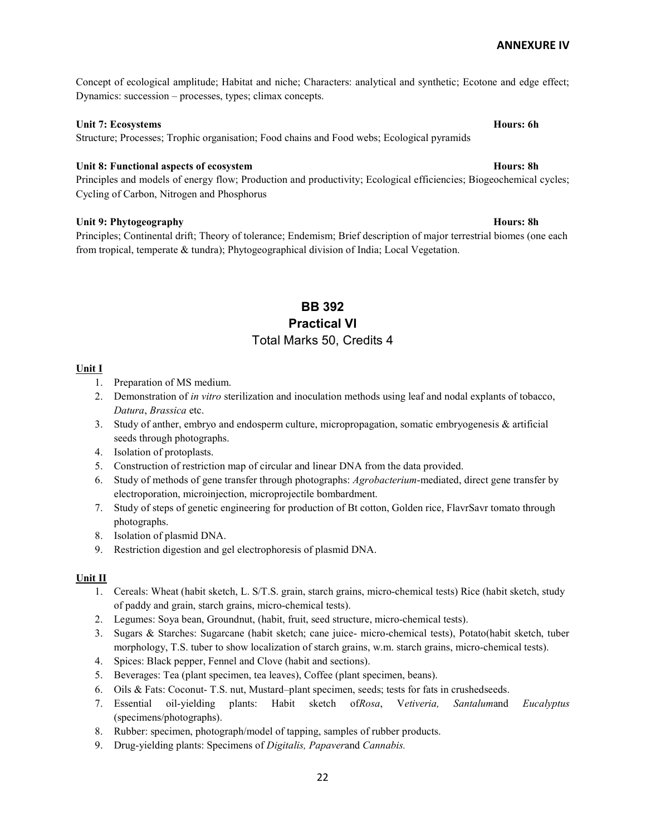Concept of ecological amplitude; Habitat and niche; Characters: analytical and synthetic; Ecotone and edge effect; Dynamics: succession – processes, types; climax concepts.

## Unit 7: Ecosystems Hours: 6h

Structure; Processes; Trophic organisation; Food chains and Food webs; Ecological pyramids

## Unit 8: Functional aspects of ecosystem **Hours: 8h** Hours: 8h

Principles and models of energy flow; Production and productivity; Ecological efficiencies; Biogeochemical cycles; Cycling of Carbon, Nitrogen and Phosphorus

### Unit 9: Phytogeography Hours: 8h

Principles; Continental drift; Theory of tolerance; Endemism; Brief description of major terrestrial biomes (one each from tropical, temperate & tundra); Phytogeographical division of India; Local Vegetation.

## BB 392 Practical VI Total Marks 50, Credits 4

### Unit I

- 1. Preparation of MS medium.
- 2. Demonstration of in vitro sterilization and inoculation methods using leaf and nodal explants of tobacco, Datura, Brassica etc.
- 3. Study of anther, embryo and endosperm culture, micropropagation, somatic embryogenesis & artificial seeds through photographs.
- 4. Isolation of protoplasts.
- 5. Construction of restriction map of circular and linear DNA from the data provided.
- 6. Study of methods of gene transfer through photographs: Agrobacterium-mediated, direct gene transfer by electroporation, microinjection, microprojectile bombardment.
- 7. Study of steps of genetic engineering for production of Bt cotton, Golden rice, FlavrSavr tomato through photographs.
- 8. Isolation of plasmid DNA.
- 9. Restriction digestion and gel electrophoresis of plasmid DNA.

### Unit II

- 1. Cereals: Wheat (habit sketch, L. S/T.S. grain, starch grains, micro-chemical tests) Rice (habit sketch, study of paddy and grain, starch grains, micro-chemical tests).
- 2. Legumes: Soya bean, Groundnut, (habit, fruit, seed structure, micro-chemical tests).
- 3. Sugars & Starches: Sugarcane (habit sketch; cane juice- micro-chemical tests), Potato(habit sketch, tuber morphology, T.S. tuber to show localization of starch grains, w.m. starch grains, micro-chemical tests).
- 4. Spices: Black pepper, Fennel and Clove (habit and sections).
- 5. Beverages: Tea (plant specimen, tea leaves), Coffee (plant specimen, beans).
- 6. Oils & Fats: Coconut- T.S. nut, Mustard–plant specimen, seeds; tests for fats in crushedseeds.
- 7. Essential oil-yielding plants: Habit sketch ofRosa, Vetiveria, Santalumand Eucalyptus (specimens/photographs).
- 8. Rubber: specimen, photograph/model of tapping, samples of rubber products.
- 9. Drug-yielding plants: Specimens of Digitalis, Papaverand Cannabis.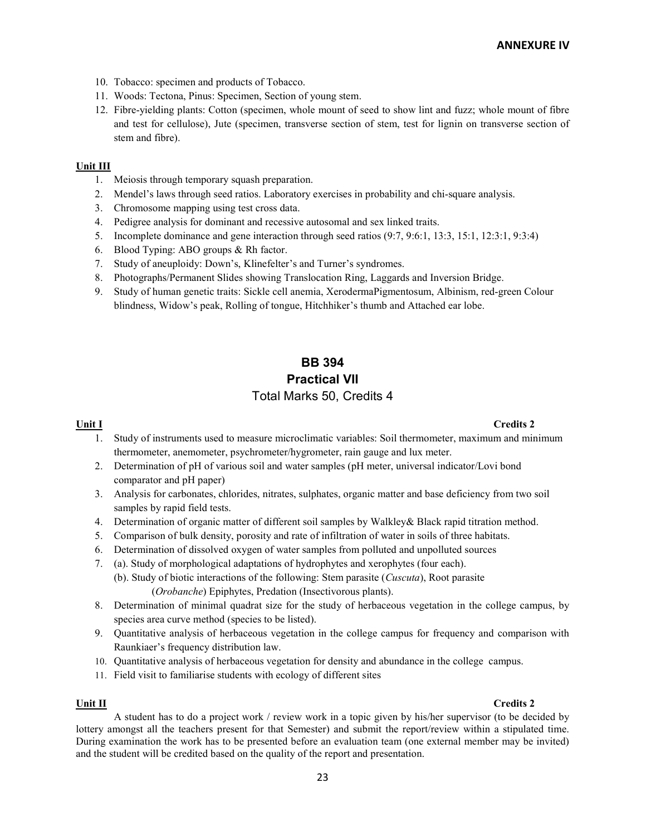- 10. Tobacco: specimen and products of Tobacco.
- 11. Woods: Tectona, Pinus: Specimen, Section of young stem.
- 12. Fibre-yielding plants: Cotton (specimen, whole mount of seed to show lint and fuzz; whole mount of fibre and test for cellulose), Jute (specimen, transverse section of stem, test for lignin on transverse section of stem and fibre).

## Unit III

- 1. Meiosis through temporary squash preparation.
- 2. Mendel's laws through seed ratios. Laboratory exercises in probability and chi-square analysis.
- 3. Chromosome mapping using test cross data.
- 4. Pedigree analysis for dominant and recessive autosomal and sex linked traits.
- 5. Incomplete dominance and gene interaction through seed ratios (9:7, 9:6:1, 13:3, 15:1, 12:3:1, 9:3:4)
- 6. Blood Typing: ABO groups & Rh factor.
- 7. Study of aneuploidy: Down's, Klinefelter's and Turner's syndromes.
- 8. Photographs/Permanent Slides showing Translocation Ring, Laggards and Inversion Bridge.
- 9. Study of human genetic traits: Sickle cell anemia, XerodermaPigmentosum, Albinism, red-green Colour blindness, Widow's peak, Rolling of tongue, Hitchhiker's thumb and Attached ear lobe.

## BB 394 Practical VII Total Marks 50, Credits 4

## $\frac{Unit I}{I}$  Credits 2

- 1. Study of instruments used to measure microclimatic variables: Soil thermometer, maximum and minimum thermometer, anemometer, psychrometer/hygrometer, rain gauge and lux meter.
- 2. Determination of pH of various soil and water samples (pH meter, universal indicator/Lovi bond comparator and pH paper)
- 3. Analysis for carbonates, chlorides, nitrates, sulphates, organic matter and base deficiency from two soil samples by rapid field tests.
- 4. Determination of organic matter of different soil samples by Walkley& Black rapid titration method.
- 5. Comparison of bulk density, porosity and rate of infiltration of water in soils of three habitats.
- 6. Determination of dissolved oxygen of water samples from polluted and unpolluted sources
- 7. (a). Study of morphological adaptations of hydrophytes and xerophytes (four each).
	- (b). Study of biotic interactions of the following: Stem parasite (Cuscuta), Root parasite (Orobanche) Epiphytes, Predation (Insectivorous plants).
- 8. Determination of minimal quadrat size for the study of herbaceous vegetation in the college campus, by species area curve method (species to be listed).
- 9. Quantitative analysis of herbaceous vegetation in the college campus for frequency and comparison with Raunkiaer's frequency distribution law.
- 10. Quantitative analysis of herbaceous vegetation for density and abundance in the college campus.
- 11. Field visit to familiarise students with ecology of different sites

### $\frac{Unit II}{l}$  Credits 2

A student has to do a project work / review work in a topic given by his/her supervisor (to be decided by lottery amongst all the teachers present for that Semester) and submit the report/review within a stipulated time. During examination the work has to be presented before an evaluation team (one external member may be invited) and the student will be credited based on the quality of the report and presentation.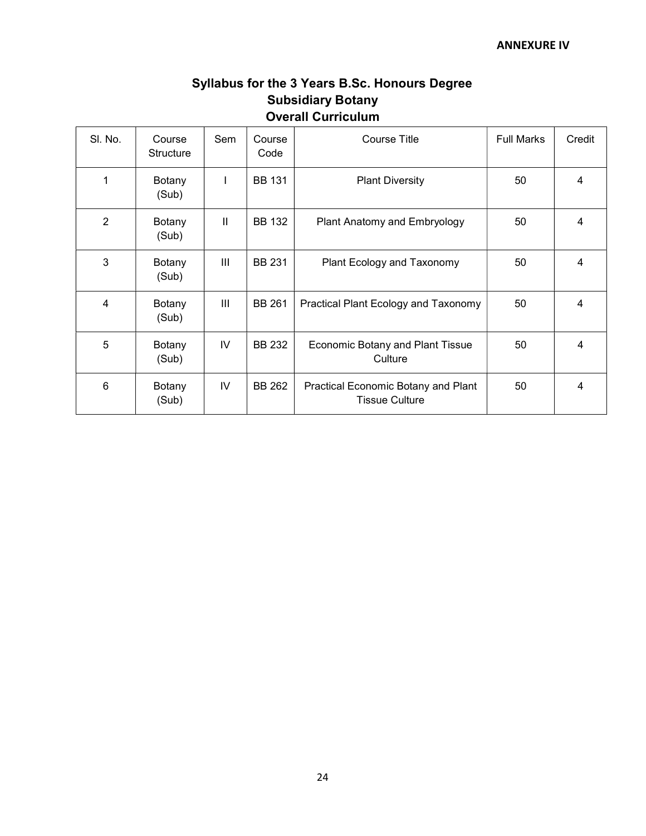# Syllabus for the 3 Years B.Sc. Honours Degree Subsidiary Botany Overall Curriculum

| SI. No.        | Course<br><b>Structure</b> | Sem           | Course<br>Code | <b>Course Title</b>                                          | <b>Full Marks</b> | Credit |
|----------------|----------------------------|---------------|----------------|--------------------------------------------------------------|-------------------|--------|
| 1              | Botany<br>(Sub)            |               | <b>BB 131</b>  | <b>Plant Diversity</b>                                       | 50                | 4      |
| $\overline{2}$ | Botany<br>(Sub)            | $\mathbf{II}$ | <b>BB 132</b>  | Plant Anatomy and Embryology                                 | 50                | 4      |
| 3              | Botany<br>(Sub)            | Ш             | <b>BB 231</b>  | Plant Ecology and Taxonomy                                   | 50                | 4      |
| 4              | Botany<br>(Sub)            | Ш             | <b>BB 261</b>  | Practical Plant Ecology and Taxonomy                         | 50                | 4      |
| 5              | Botany<br>(Sub)            | IV            | <b>BB 232</b>  | <b>Economic Botany and Plant Tissue</b><br>Culture           | 50                | 4      |
| 6              | Botany<br>(Sub)            | IV            | BB 262         | Practical Economic Botany and Plant<br><b>Tissue Culture</b> | 50                | 4      |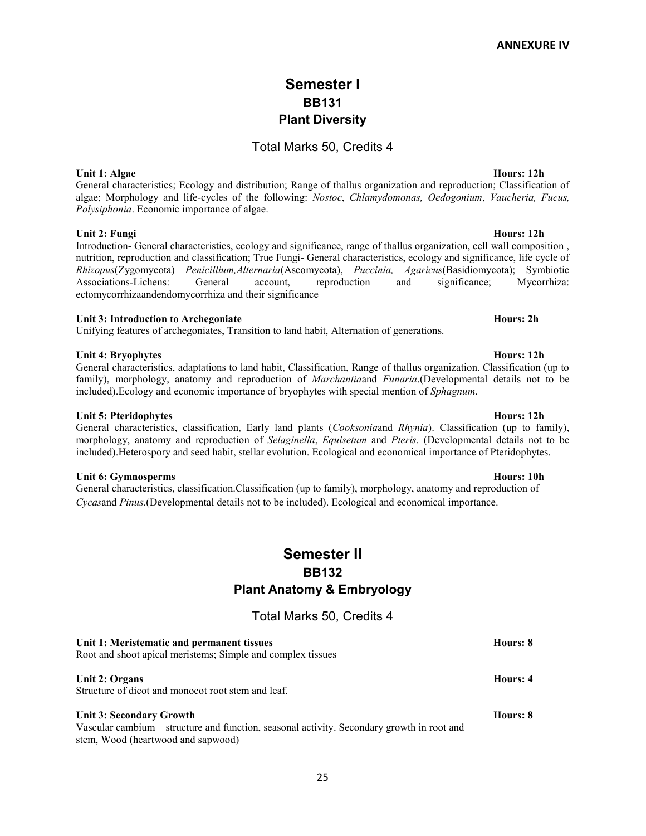# Semester I BB131 Plant Diversity

## Total Marks 50, Credits 4

Unit 1: Algae Hours: 12h General characteristics; Ecology and distribution; Range of thallus organization and reproduction; Classification of algae; Morphology and life-cycles of the following: Nostoc, Chlamydomonas, Oedogonium, Vaucheria, Fucus, Polysiphonia. Economic importance of algae.

## Unit 2: Fungi Hours: 12h

Introduction- General characteristics, ecology and significance, range of thallus organization, cell wall composition , nutrition, reproduction and classification; True Fungi- General characteristics, ecology and significance, life cycle of Rhizopus(Zygomycota) Penicillium,Alternaria(Ascomycota), Puccinia, Agaricus(Basidiomycota); Symbiotic Associations-Lichens: General account, reproduction and significance; Mycorrhiza: ectomycorrhizaandendomycorrhiza and their significance

## Unit 3: Introduction to Archegoniate **Hours: 2h** Hours: 2h

Unifying features of archegoniates, Transition to land habit, Alternation of generations.

## Unit 4: Bryophytes **Hours: 12h**

General characteristics, adaptations to land habit, Classification, Range of thallus organization. Classification (up to family), morphology, anatomy and reproduction of *Marchantia*and *Funaria*.(Developmental details not to be included).Ecology and economic importance of bryophytes with special mention of Sphagnum.

### Unit 5: Pteridophytes **Hours: 12h**

### morphology, anatomy and reproduction of Selaginella, Equisetum and Pteris. (Developmental details not to be included).Heterospory and seed habit, stellar evolution. Ecological and economical importance of Pteridophytes.

Unit 6: Gymnosperms Hours: 10h

General characteristics, classification.Classification (up to family), morphology, anatomy and reproduction of Cycasand Pinus.(Developmental details not to be included). Ecological and economical importance.

# Semester II BB132 Plant Anatomy & Embryology

Total Marks 50, Credits 4

| Unit 1: Meristematic and permanent tissues<br>Root and shoot apical meristems; Simple and complex tissues                                                           | Hours: 8 |
|---------------------------------------------------------------------------------------------------------------------------------------------------------------------|----------|
| Unit 2: Organs<br>Structure of dicot and monocot root stem and leaf.                                                                                                | Hours: 4 |
| <b>Unit 3: Secondary Growth</b><br>Vascular cambium – structure and function, seasonal activity. Secondary growth in root and<br>stem, Wood (heartwood and sapwood) | Hours: 8 |

## General characteristics, classification, Early land plants (Cooksoniaand Rhynia). Classification (up to family),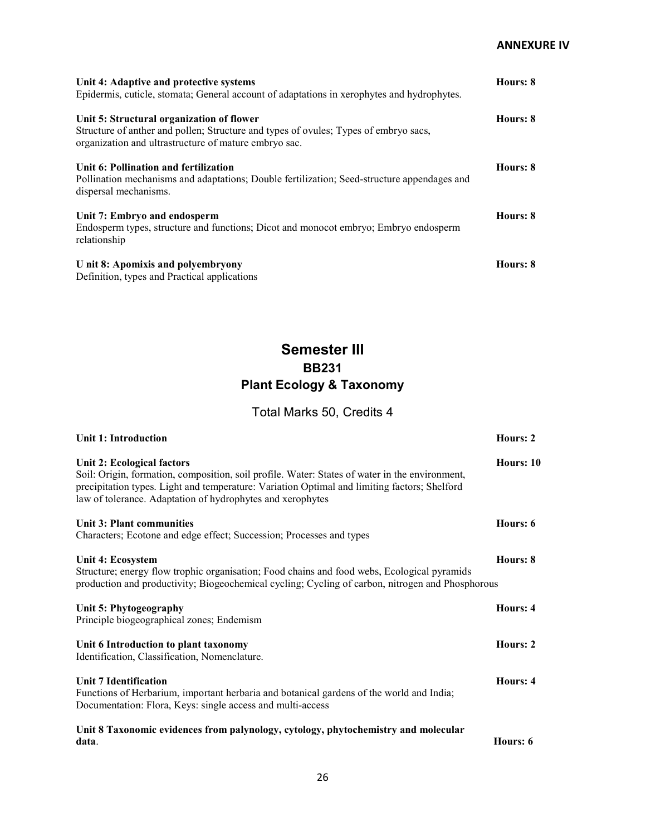| Unit 4: Adaptive and protective systems<br>Epidermis, cuticle, stomata; General account of adaptations in xerophytes and hydrophytes.                                                      | Hours: 8 |
|--------------------------------------------------------------------------------------------------------------------------------------------------------------------------------------------|----------|
| Unit 5: Structural organization of flower<br>Structure of anther and pollen; Structure and types of ovules; Types of embryo sacs,<br>organization and ultrastructure of mature embryo sac. | Hours: 8 |
| Unit 6: Pollination and fertilization<br>Pollination mechanisms and adaptations; Double fertilization; Seed-structure appendages and<br>dispersal mechanisms.                              | Hours: 8 |
| Unit 7: Embryo and endosperm<br>Endosperm types, structure and functions; Dicot and monocot embryo; Embryo endosperm<br>relationship                                                       | Hours: 8 |
| U nit 8: Apomixis and polyembryony<br>Definition, types and Practical applications                                                                                                         | Hours: 8 |

# Semester III BB231 Plant Ecology & Taxonomy

Total Marks 50, Credits 4

| <b>Unit 1: Introduction</b>                                                                                                                                                                                                                                                                | Hours: 2  |
|--------------------------------------------------------------------------------------------------------------------------------------------------------------------------------------------------------------------------------------------------------------------------------------------|-----------|
| Unit 2: Ecological factors<br>Soil: Origin, formation, composition, soil profile. Water: States of water in the environment,<br>precipitation types. Light and temperature: Variation Optimal and limiting factors; Shelford<br>law of tolerance. Adaptation of hydrophytes and xerophytes | Hours: 10 |
| Unit 3: Plant communities<br>Characters; Ecotone and edge effect; Succession; Processes and types                                                                                                                                                                                          | Hours: 6  |
| Unit 4: Ecosystem<br>Structure; energy flow trophic organisation; Food chains and food webs, Ecological pyramids<br>production and productivity; Biogeochemical cycling; Cycling of carbon, nitrogen and Phosphorous                                                                       | Hours: 8  |
| Unit 5: Phytogeography<br>Principle biogeographical zones; Endemism                                                                                                                                                                                                                        | Hours: 4  |
| Unit 6 Introduction to plant taxonomy<br>Identification, Classification, Nomenclature.                                                                                                                                                                                                     | Hours: 2  |
| Unit 7 Identification<br>Functions of Herbarium, important herbaria and botanical gardens of the world and India;<br>Documentation: Flora, Keys: single access and multi-access                                                                                                            | Hours: 4  |
| Unit 8 Taxonomic evidences from palynology, cytology, phytochemistry and molecular<br>data.                                                                                                                                                                                                | Hours: 6  |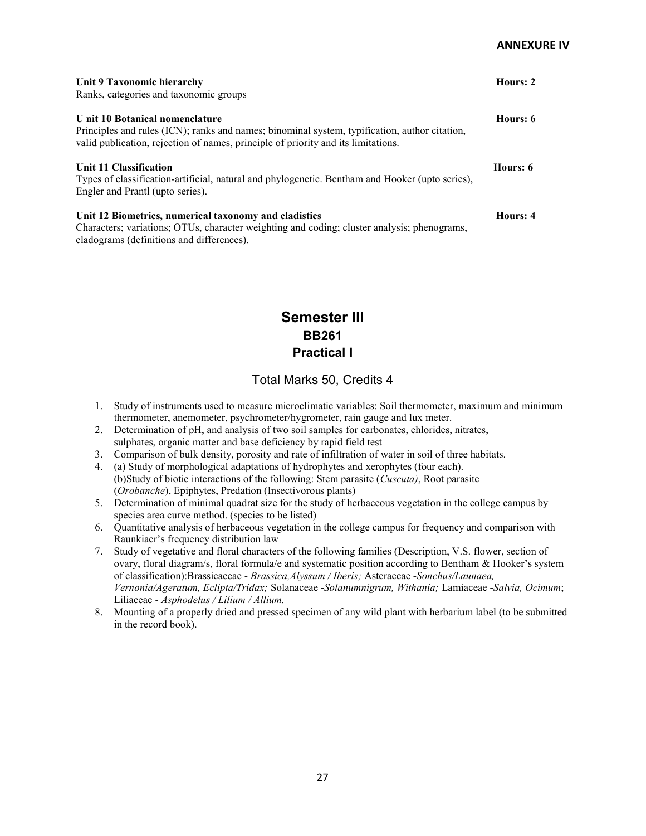| Unit 9 Taxonomic hierarchy<br>Ranks, categories and taxonomic groups                                                                                                                                                  | Hours: 2 |
|-----------------------------------------------------------------------------------------------------------------------------------------------------------------------------------------------------------------------|----------|
| U nit 10 Botanical nomenclature<br>Principles and rules (ICN); ranks and names; binominal system, typification, author citation,<br>valid publication, rejection of names, principle of priority and its limitations. | Hours: 6 |
| Unit 11 Classification<br>Types of classification-artificial, natural and phylogenetic. Bentham and Hooker (upto series),<br>Engler and Prantl (upto series).                                                         | Hours: 6 |
| Unit 12 Biometrics, numerical taxonomy and cladistics<br>Characters; variations; OTUs, character weighting and coding; cluster analysis; phenograms,<br>cladograms (definitions and differences).                     | Hours: 4 |

# Semester III BB261 Practical I

## Total Marks 50, Credits 4

- 1. Study of instruments used to measure microclimatic variables: Soil thermometer, maximum and minimum thermometer, anemometer, psychrometer/hygrometer, rain gauge and lux meter.
- 2. Determination of pH, and analysis of two soil samples for carbonates, chlorides, nitrates, sulphates, organic matter and base deficiency by rapid field test
- 3. Comparison of bulk density, porosity and rate of infiltration of water in soil of three habitats.
- 4. (a) Study of morphological adaptations of hydrophytes and xerophytes (four each). (b)Study of biotic interactions of the following: Stem parasite (Cuscuta), Root parasite (Orobanche), Epiphytes, Predation (Insectivorous plants)
- 5. Determination of minimal quadrat size for the study of herbaceous vegetation in the college campus by species area curve method. (species to be listed)
- 6. Quantitative analysis of herbaceous vegetation in the college campus for frequency and comparison with Raunkiaer's frequency distribution law
- 7. Study of vegetative and floral characters of the following families (Description, V.S. flower, section of ovary, floral diagram/s, floral formula/e and systematic position according to Bentham & Hooker's system of classification):Brassicaceae - Brassica,Alyssum / Iberis; Asteraceae -Sonchus/Launaea, Vernonia/Ageratum, Eclipta/Tridax; Solanaceae -Solanumnigrum, Withania; Lamiaceae -Salvia, Ocimum; Liliaceae - Asphodelus / Lilium / Allium.
- 8. Mounting of a properly dried and pressed specimen of any wild plant with herbarium label (to be submitted in the record book).